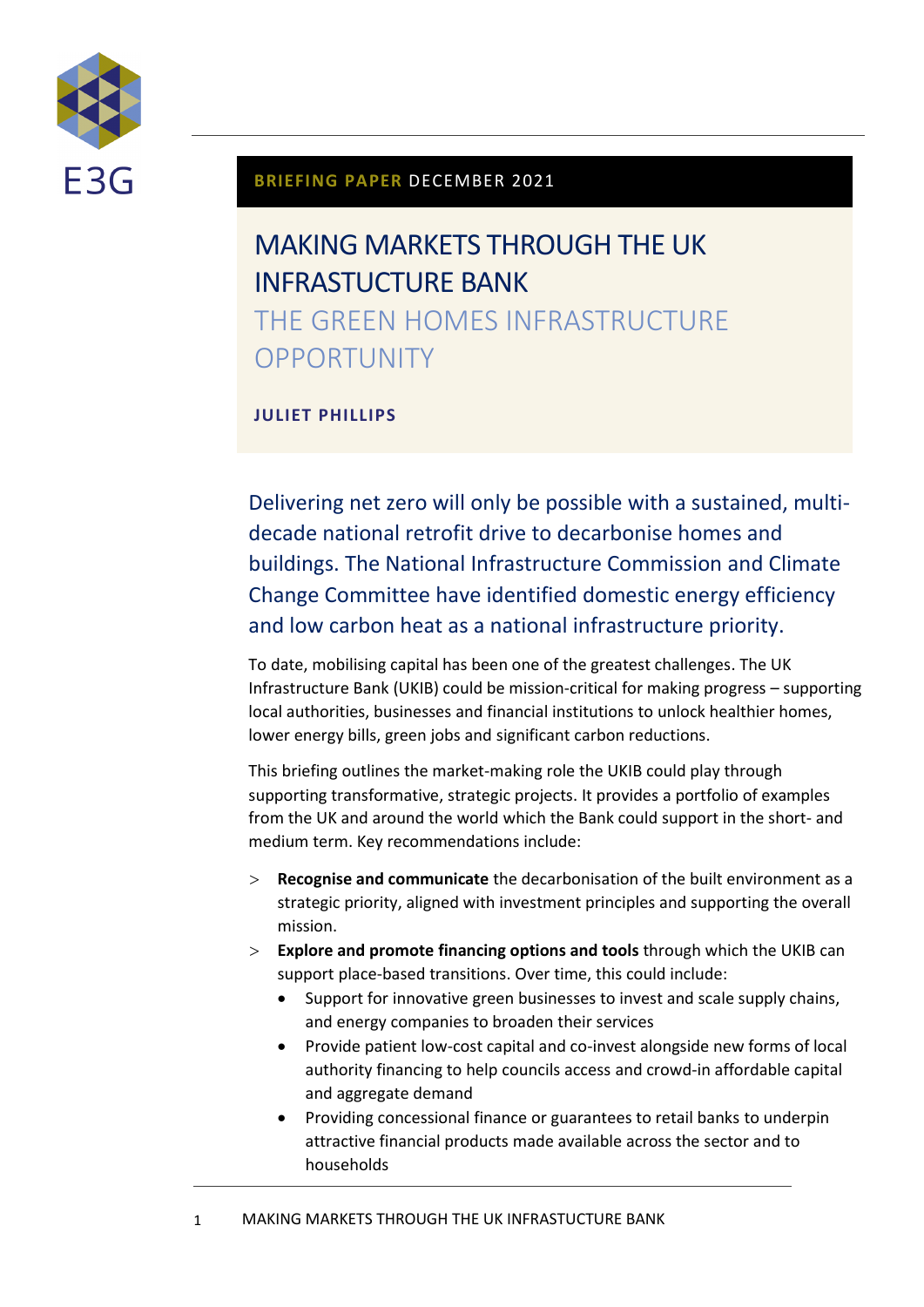

#### **BRIEFING PAPER** DECEMBER 2021

# MAKING MARKETS THROUGH THE UK INFRASTUCTURE BANK

THE GREEN HOMES INFRASTRUCTURE **OPPORTUNITY** 

#### **JULIET PHILLIPS**

Delivering net zero will only be possible with a sustained, multidecade national retrofit drive to decarbonise homes and buildings. The National Infrastructure Commission and Climate Change Committee have identified domestic energy efficiency and low carbon heat as a national infrastructure priority.

To date, mobilising capital has been one of the greatest challenges. The UK Infrastructure Bank (UKIB) could be mission-critical for making progress – supporting local authorities, businesses and financial institutions to unlock healthier homes, lower energy bills, green jobs and significant carbon reductions.

This briefing outlines the market-making role the UKIB could play through supporting transformative, strategic projects. It provides a portfolio of examples from the UK and around the world which the Bank could support in the short- and medium term. Key recommendations include:

- **Recognise and communicate** the decarbonisation of the built environment as a strategic priority, aligned with investment principles and supporting the overall mission.
- **Explore and promote financing options and tools** through which the UKIB can support place-based transitions. Over time, this could include:
	- Support for innovative green businesses to invest and scale supply chains, and energy companies to broaden their services
	- Provide patient low-cost capital and co-invest alongside new forms of local authority financing to help councils access and crowd-in affordable capital and aggregate demand
	- Providing concessional finance or guarantees to retail banks to underpin attractive financial products made available across the sector and to households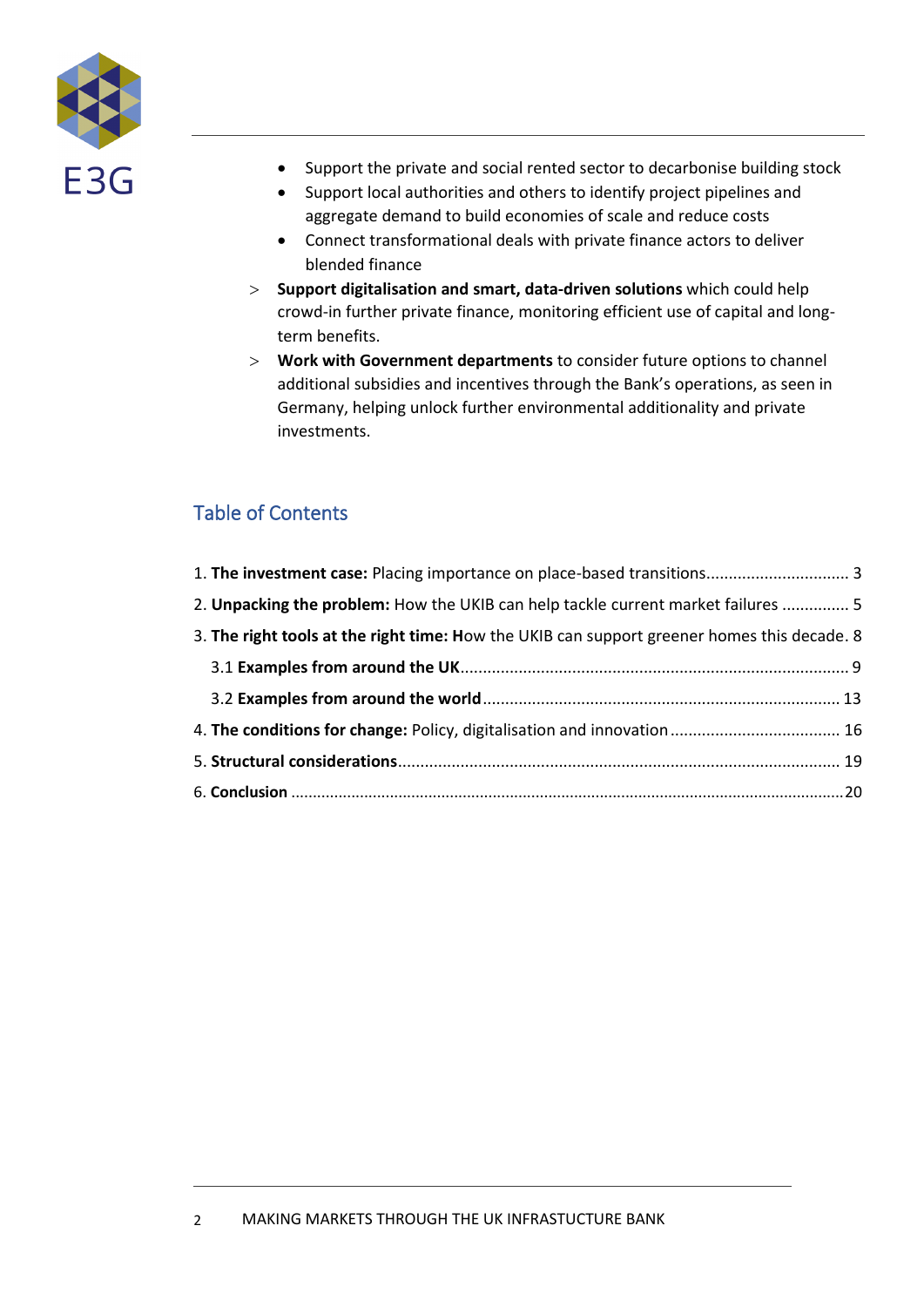

- Support the private and social rented sector to decarbonise building stock
- Support local authorities and others to identify project pipelines and aggregate demand to build economies of scale and reduce costs
- Connect transformational deals with private finance actors to deliver blended finance
- **Support digitalisation and smart, data-driven solutions** which could help crowd-in further private finance, monitoring efficient use of capital and longterm benefits.
- **Work with Government departments** to consider future options to channel additional subsidies and incentives through the Bank's operations, as seen in Germany, helping unlock further environmental additionality and private investments.

### Table of Contents

| 1. The investment case: Placing importance on place-based transitions 3                     |  |
|---------------------------------------------------------------------------------------------|--|
| 2. Unpacking the problem: How the UKIB can help tackle current market failures  5           |  |
| 3. The right tools at the right time: How the UKIB can support greener homes this decade. 8 |  |
|                                                                                             |  |
|                                                                                             |  |
|                                                                                             |  |
|                                                                                             |  |
|                                                                                             |  |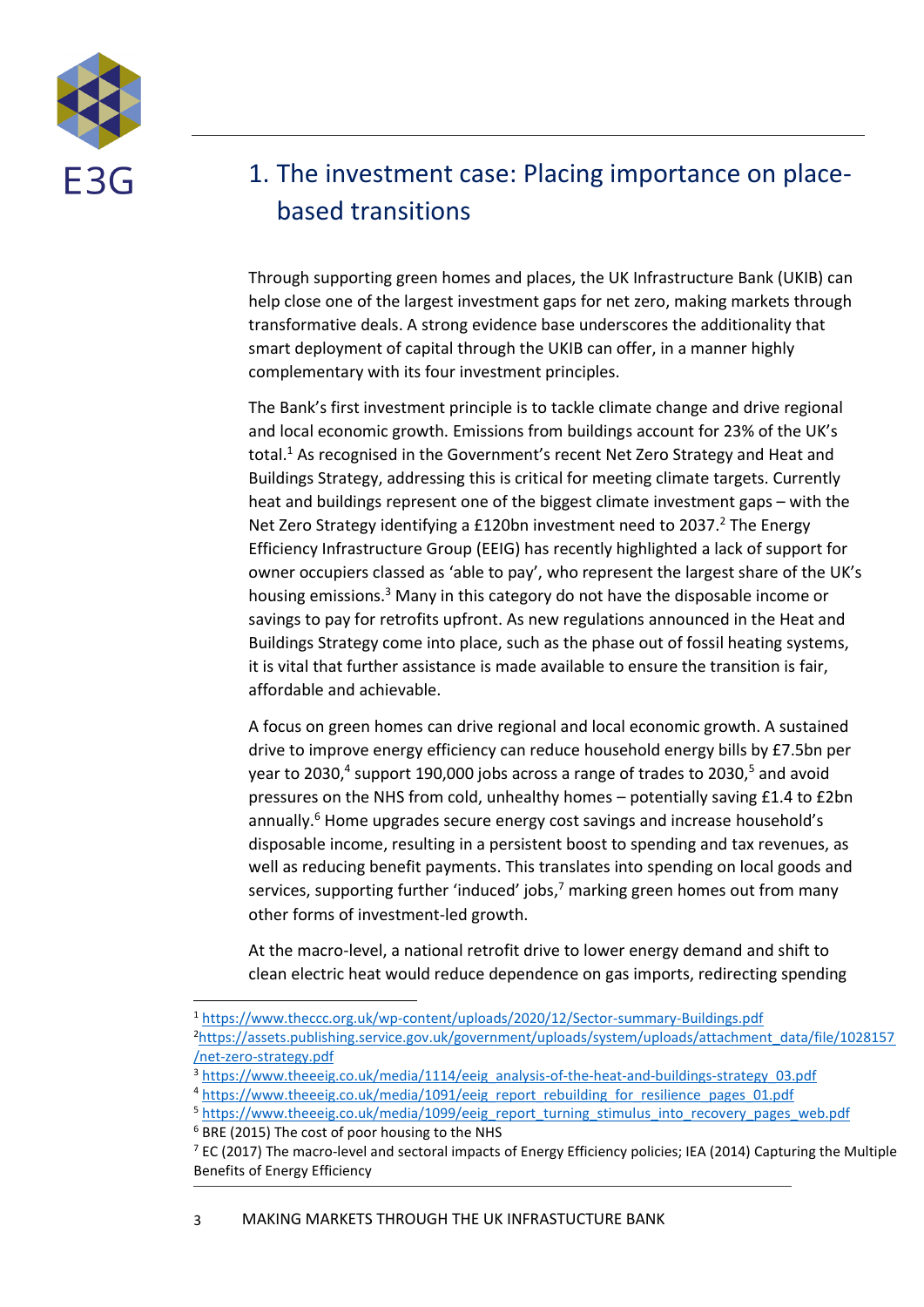

## <span id="page-2-0"></span>1. The investment case: Placing importance on placebased transitions

Through supporting green homes and places, the UK Infrastructure Bank (UKIB) can help close one of the largest investment gaps for net zero, making markets through transformative deals. A strong evidence base underscores the additionality that smart deployment of capital through the UKIB can offer, in a manner highly complementary with its four investment principles.

The Bank's first investment principle is to tackle climate change and drive regional and local economic growth. Emissions from buildings account for 23% of the UK's total. <sup>1</sup> As recognised in the Government's recent Net Zero Strategy and Heat and Buildings Strategy, addressing this is critical for meeting climate targets. Currently heat and buildings represent one of the biggest climate investment gaps – with the Net Zero Strategy identifying a £120bn investment need to 2037. <sup>2</sup> The Energy Efficiency Infrastructure Group (EEIG) has recently highlighted a lack of support for owner occupiers classed as 'able to pay', who represent the largest share of the UK's housing emissions.<sup>3</sup> Many in this category do not have the disposable income or savings to pay for retrofits upfront. As new regulations announced in the Heat and Buildings Strategy come into place, such as the phase out of fossil heating systems, it is vital that further assistance is made available to ensure the transition is fair, affordable and achievable.

A focus on green homes can drive regional and local economic growth. A sustained drive to improve energy efficiency can reduce household energy bills by £7.5bn per year to 2030,<sup>4</sup> support 190,000 jobs across a range of trades to 2030,<sup>5</sup> and avoid pressures on the NHS from cold, unhealthy homes – potentially saving £1.4 to £2bn annually.<sup>6</sup> Home upgrades secure energy cost savings and increase household's disposable income, resulting in a persistent boost to spending and tax revenues, as well as reducing benefit payments. This translates into spending on local goods and services, supporting further 'induced' jobs,<sup>7</sup> marking green homes out from many other forms of investment-led growth.

At the macro-level, a national retrofit drive to lower energy demand and shift to clean electric heat would reduce dependence on gas imports, redirecting spending

<sup>1</sup> <https://www.theccc.org.uk/wp-content/uploads/2020/12/Sector-summary-Buildings.pdf>

<sup>2</sup>[https://assets.publishing.service.gov.uk/government/uploads/system/uploads/attachment\\_data/file/1028157](https://assets.publishing.service.gov.uk/government/uploads/system/uploads/attachment_data/file/1028157/net-zero-strategy.pdf) [/net-zero-strategy.pdf](https://assets.publishing.service.gov.uk/government/uploads/system/uploads/attachment_data/file/1028157/net-zero-strategy.pdf)

<sup>&</sup>lt;sup>3</sup> [https://www.theeeig.co.uk/media/1114/eeig\\_analysis-of-the-heat-and-buildings-strategy\\_03.pdf](https://www.theeeig.co.uk/media/1114/eeig_analysis-of-the-heat-and-buildings-strategy_03.pdf)

<sup>&</sup>lt;sup>4</sup> [https://www.theeeig.co.uk/media/1091/eeig\\_report\\_rebuilding\\_for\\_resilience\\_pages\\_01.pdf](https://www.theeeig.co.uk/media/1091/eeig_report_rebuilding_for_resilience_pages_01.pdf)

<sup>&</sup>lt;sup>5</sup> [https://www.theeeig.co.uk/media/1099/eeig\\_report\\_turning\\_stimulus\\_into\\_recovery\\_pages\\_web.pdf](https://www.theeeig.co.uk/media/1099/eeig_report_turning_stimulus_into_recovery_pages_web.pdf)

<sup>6</sup> BRE (2015) The cost of poor housing to the NHS

 $7$  EC (2017) The macro-level and sectoral impacts of Energy Efficiency policies; IEA (2014) Capturing the Multiple Benefits of Energy Efficiency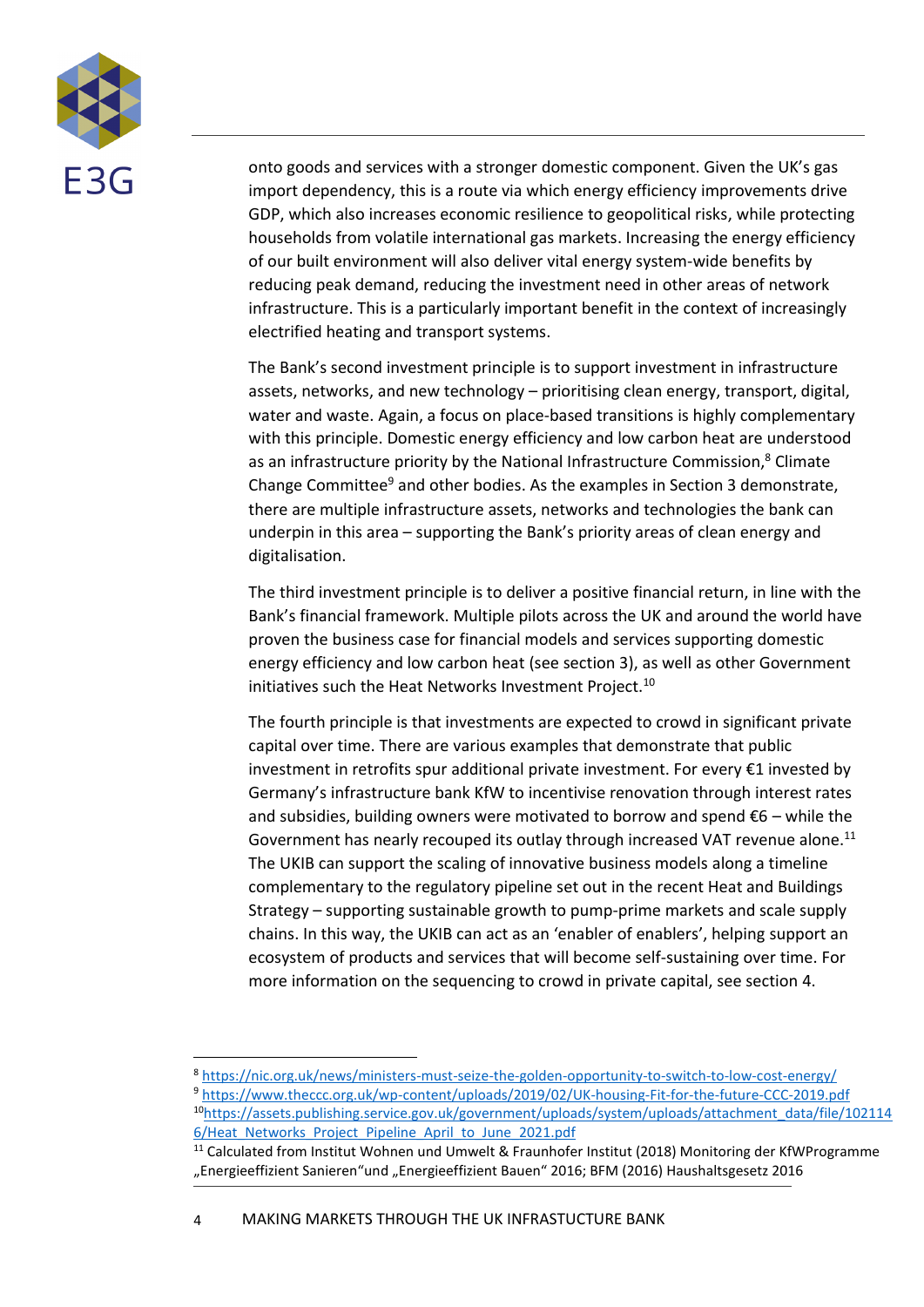

onto goods and services with a stronger domestic component. Given the UK's gas import dependency, this is a route via which energy efficiency improvements drive GDP, which also increases economic resilience to geopolitical risks, while protecting households from volatile international gas markets. Increasing the energy efficiency of our built environment will also deliver vital energy system-wide benefits by reducing peak demand, reducing the investment need in other areas of network infrastructure. This is a particularly important benefit in the context of increasingly electrified heating and transport systems.

The Bank's second investment principle is to support investment in infrastructure assets, networks, and new technology – prioritising clean energy, transport, digital, water and waste. Again, a focus on place-based transitions is highly complementary with this principle. Domestic energy efficiency and low carbon heat are understood as an infrastructure priority by the National Infrastructure Commission,<sup>8</sup> Climate Change Committee<sup>9</sup> and other bodies. As the examples in Section 3 demonstrate, there are multiple infrastructure assets, networks and technologies the bank can underpin in this area – supporting the Bank's priority areas of clean energy and digitalisation.

The third investment principle is to deliver a positive financial return, in line with the Bank's financial framework. Multiple pilots across the UK and around the world have proven the business case for financial models and services supporting domestic energy efficiency and low carbon heat (see section 3), as well as other Government initiatives such the Heat Networks Investment Project.<sup>10</sup>

The fourth principle is that investments are expected to crowd in significant private capital over time. There are various examples that demonstrate that public investment in retrofits spur additional private investment. For every €1 invested by Germany's infrastructure bank KfW to incentivise renovation through interest rates and subsidies, building owners were motivated to borrow and spend  $\epsilon$ 6 – while the Government has nearly recouped its outlay through increased VAT revenue alone.<sup>11</sup> The UKIB can support the scaling of innovative business models along a timeline complementary to the regulatory pipeline set out in the recent Heat and Buildings Strategy – supporting sustainable growth to pump-prime markets and scale supply chains. In this way, the UKIB can act as an 'enabler of enablers', helping support an ecosystem of products and services that will become self-sustaining over time. For more information on the sequencing to crowd in private capital, see section 4.

<sup>8</sup> <https://nic.org.uk/news/ministers-must-seize-the-golden-opportunity-to-switch-to-low-cost-energy/>

<sup>9</sup> <https://www.theccc.org.uk/wp-content/uploads/2019/02/UK-housing-Fit-for-the-future-CCC-2019.pdf> <sup>10</sup>[https://assets.publishing.service.gov.uk/government/uploads/system/uploads/attachment\\_data/file/102114](https://assets.publishing.service.gov.uk/government/uploads/system/uploads/attachment_data/file/1021146/Heat_Networks_Project_Pipeline_April_to_June_2021.pdf) 6/Heat Networks Project Pipeline April to June 2021.pdf

<sup>&</sup>lt;sup>11</sup> Calculated from Institut Wohnen und Umwelt & Fraunhofer Institut (2018) Monitoring der KfWProgramme "Energieeffizient Sanieren"und "Energieeffizient Bauen" 2016; BFM (2016) Haushaltsgesetz 2016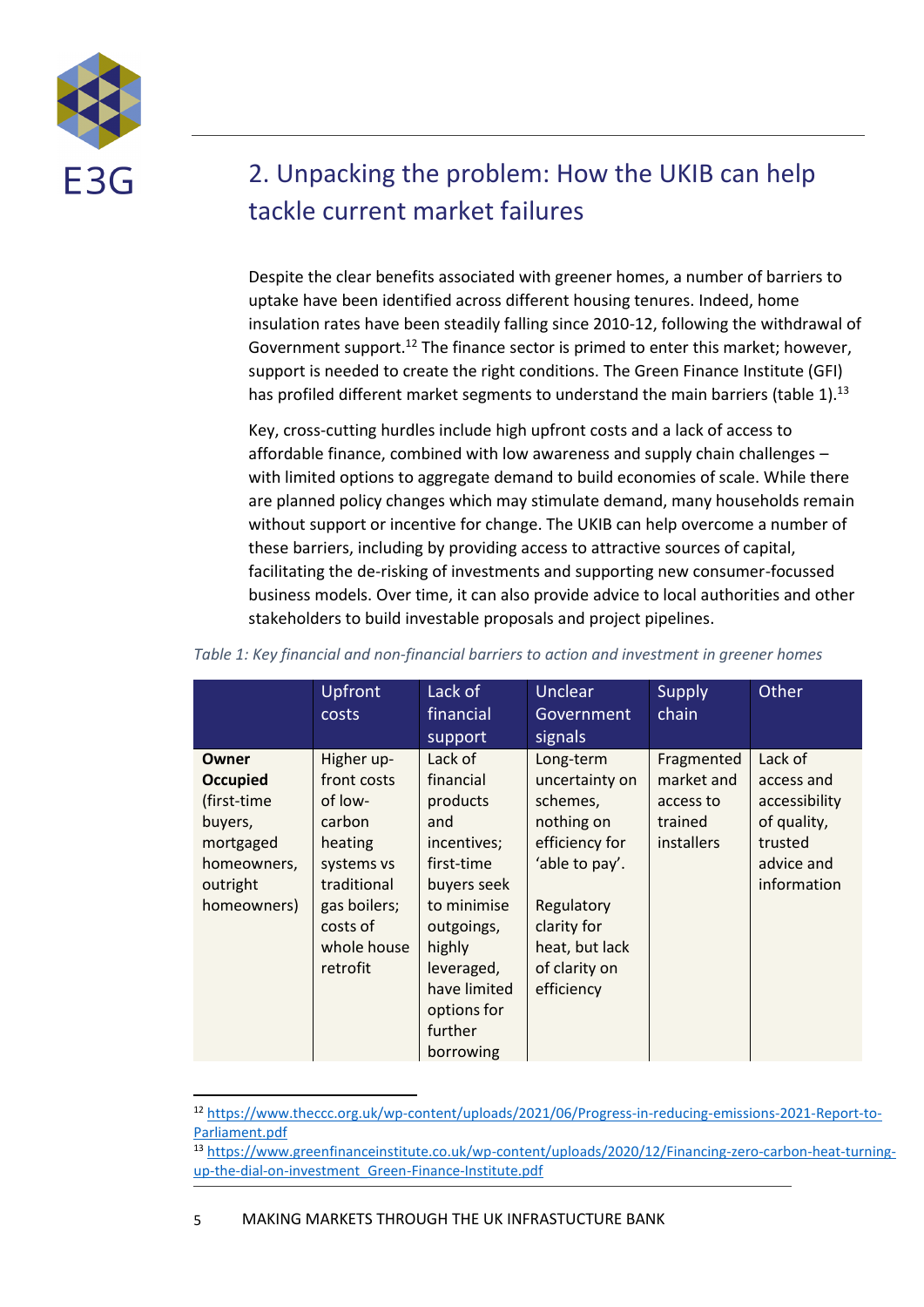

## <span id="page-4-0"></span>2. Unpacking the problem: How the UKIB can help tackle current market failures

Despite the clear benefits associated with greener homes, a number of barriers to uptake have been identified across different housing tenures. Indeed, home insulation rates have been steadily falling since 2010-12, following the withdrawal of Government support.<sup>12</sup> The finance sector is primed to enter this market; however, support is needed to create the right conditions. The Green Finance Institute (GFI) has profiled different market segments to understand the main barriers (table 1).<sup>13</sup>

Key, cross-cutting hurdles include high upfront costs and a lack of access to affordable finance, combined with low awareness and supply chain challenges – with limited options to aggregate demand to build economies of scale. While there are planned policy changes which may stimulate demand, many households remain without support or incentive for change. The UKIB can help overcome a number of these barriers, including by providing access to attractive sources of capital, facilitating the de-risking of investments and supporting new consumer-focussed business models. Over time, it can also provide advice to local authorities and other stakeholders to build investable proposals and project pipelines.

|                                                                                                           | <b>Upfront</b><br>costs                                                                                                                       | Lack of<br>financial<br>support                                                                                                                                                                 | <b>Unclear</b><br>Government<br>signals                                                                                                                                 | Supply<br>chain                                                       | Other                                                                                         |
|-----------------------------------------------------------------------------------------------------------|-----------------------------------------------------------------------------------------------------------------------------------------------|-------------------------------------------------------------------------------------------------------------------------------------------------------------------------------------------------|-------------------------------------------------------------------------------------------------------------------------------------------------------------------------|-----------------------------------------------------------------------|-----------------------------------------------------------------------------------------------|
| Owner<br><b>Occupied</b><br>(first-time<br>buyers,<br>mortgaged<br>homeowners,<br>outright<br>homeowners) | Higher up-<br>front costs<br>of low-<br>carbon<br>heating<br>systems vs<br>traditional<br>gas boilers;<br>costs of<br>whole house<br>retrofit | Lack of<br>financial<br>products<br>and<br>incentives;<br>first-time<br>buyers seek<br>to minimise<br>outgoings,<br>highly<br>leveraged,<br>have limited<br>options for<br>further<br>borrowing | Long-term<br>uncertainty on<br>schemes,<br>nothing on<br>efficiency for<br>'able to pay'.<br>Regulatory<br>clarity for<br>heat, but lack<br>of clarity on<br>efficiency | Fragmented<br>market and<br>access to<br>trained<br><i>installers</i> | Lack of<br>access and<br>accessibility<br>of quality,<br>trusted<br>advice and<br>information |

*Table 1: Key financial and non-financial barriers to action and investment in greener homes*

<sup>12</sup> [https://www.theccc.org.uk/wp-content/uploads/2021/06/Progress-in-reducing-emissions-2021-Report-to-](https://www.theccc.org.uk/wp-content/uploads/2021/06/Progress-in-reducing-emissions-2021-Report-to-Parliament.pdf)[Parliament.pdf](https://www.theccc.org.uk/wp-content/uploads/2021/06/Progress-in-reducing-emissions-2021-Report-to-Parliament.pdf)

<sup>13</sup> [https://www.greenfinanceinstitute.co.uk/wp-content/uploads/2020/12/Financing-zero-carbon-heat-turning](https://www.greenfinanceinstitute.co.uk/wp-content/uploads/2020/12/Financing-zero-carbon-heat-turning-up-the-dial-on-investment_Green-Finance-Institute.pdf)[up-the-dial-on-investment\\_Green-Finance-Institute.pdf](https://www.greenfinanceinstitute.co.uk/wp-content/uploads/2020/12/Financing-zero-carbon-heat-turning-up-the-dial-on-investment_Green-Finance-Institute.pdf)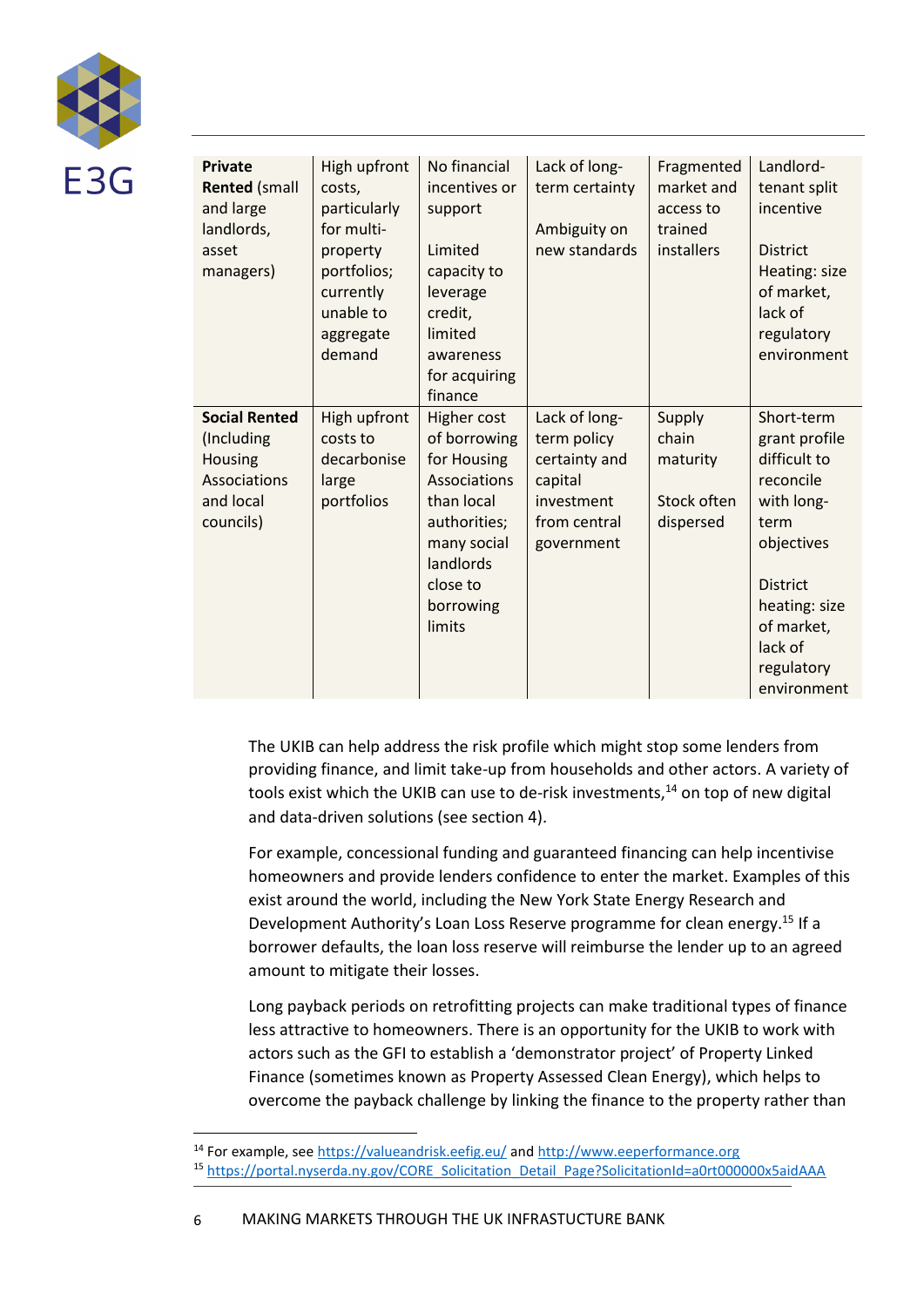

| <b>Private</b><br><b>Rented (small</b><br>and large<br>landlords,<br>asset<br>managers) | High upfront<br>costs,<br>particularly<br>for multi-<br>property<br>portfolios;<br>currently<br>unable to<br>aggregate<br>demand | No financial<br>incentives or<br>support<br>Limited<br>capacity to<br>leverage<br>credit,<br>limited<br>awareness<br>for acquiring<br>finance           | Lack of long-<br>term certainty<br>Ambiguity on<br>new standards                                     | Fragmented<br>market and<br>access to<br>trained<br>installers | Landlord-<br>tenant split<br>incentive<br><b>District</b><br>Heating: size<br>of market,<br>lack of<br>regulatory<br>environment                                                       |
|-----------------------------------------------------------------------------------------|----------------------------------------------------------------------------------------------------------------------------------|---------------------------------------------------------------------------------------------------------------------------------------------------------|------------------------------------------------------------------------------------------------------|----------------------------------------------------------------|----------------------------------------------------------------------------------------------------------------------------------------------------------------------------------------|
| <b>Social Rented</b><br>(Including<br>Housing<br>Associations<br>and local<br>councils) | High upfront<br>costs to<br>decarbonise<br>large<br>portfolios                                                                   | Higher cost<br>of borrowing<br>for Housing<br>Associations<br>than local<br>authorities;<br>many social<br>landlords<br>close to<br>borrowing<br>limits | Lack of long-<br>term policy<br>certainty and<br>capital<br>investment<br>from central<br>government | Supply<br>chain<br>maturity<br>Stock often<br>dispersed        | Short-term<br>grant profile<br>difficult to<br>reconcile<br>with long-<br>term<br>objectives<br><b>District</b><br>heating: size<br>of market,<br>lack of<br>regulatory<br>environment |

The UKIB can help address the risk profile which might stop some lenders from providing finance, and limit take-up from households and other actors. A variety of tools exist which the UKIB can use to de-risk investments, $14$  on top of new digital and data-driven solutions (see section 4).

For example, concessional funding and guaranteed financing can help incentivise homeowners and provide lenders confidence to enter the market. Examples of this exist around the world, including the New York State Energy Research and Development Authority's Loan Loss Reserve programme for clean energy.<sup>15</sup> If a borrower defaults, the loan loss reserve will reimburse the lender up to an agreed amount to mitigate their losses.

Long payback periods on retrofitting projects can make traditional types of finance less attractive to homeowners. There is an opportunity for the UKIB to work with actors such as the GFI to establish a 'demonstrator project' of Property Linked Finance (sometimes known as Property Assessed Clean Energy), which helps to overcome the payback challenge by linking the finance to the property rather than

<sup>&</sup>lt;sup>14</sup> For example, se[e https://valueandrisk.eefig.eu/](https://valueandrisk.eefig.eu/) an[d http://www.eeperformance.org](http://www.eeperformance.org/)

<sup>15</sup> [https://portal.nyserda.ny.gov/CORE\\_Solicitation\\_Detail\\_Page?SolicitationId=a0rt000000x5aidAAA](https://portal.nyserda.ny.gov/CORE_Solicitation_Detail_Page?SolicitationId=a0rt000000x5aidAAA)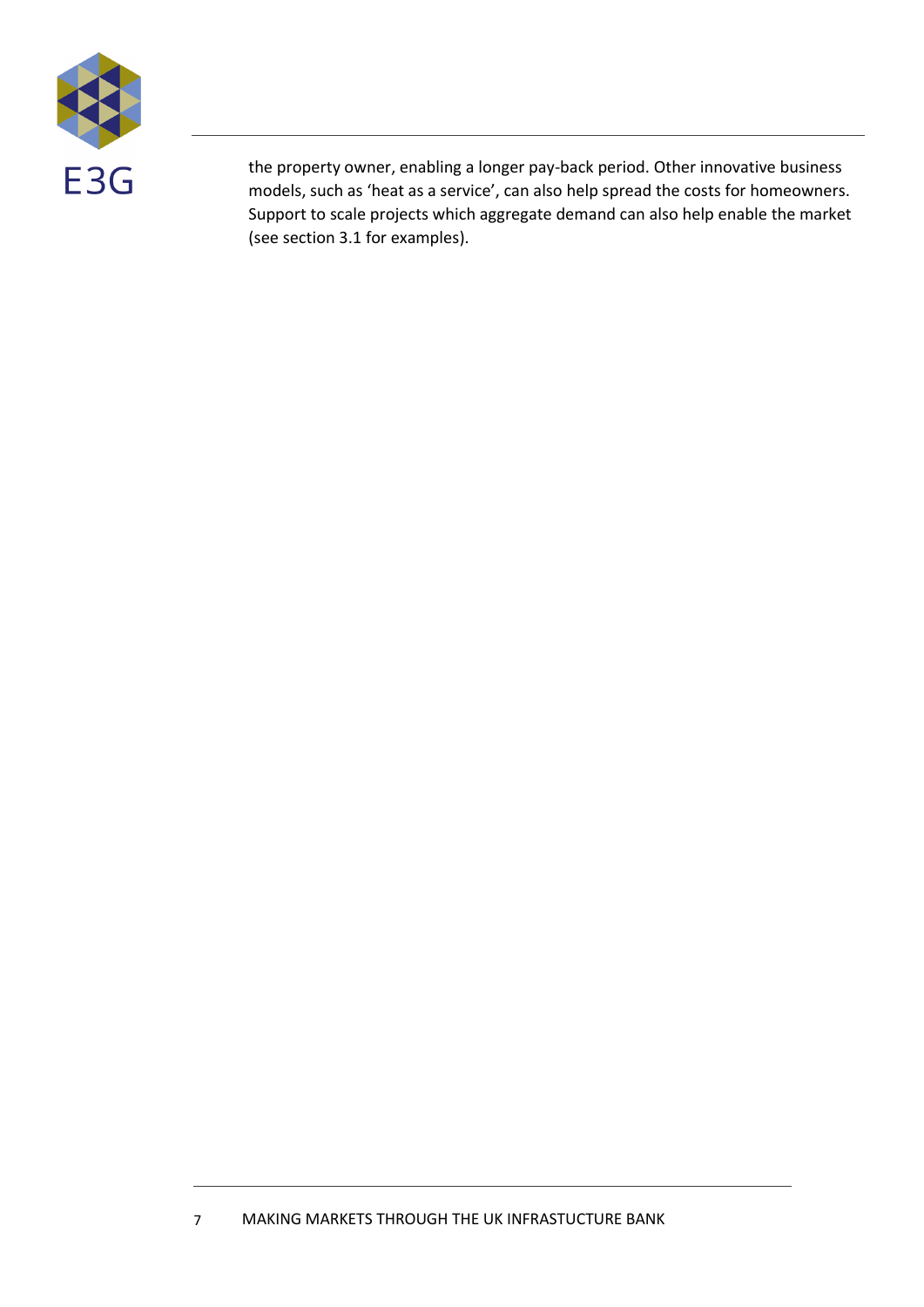

the property owner, enabling a longer pay-back period. Other innovative business models, such as 'heat as a service', can also help spread the costs for homeowners. Support to scale projects which aggregate demand can also help enable the market (see section 3.1 for examples).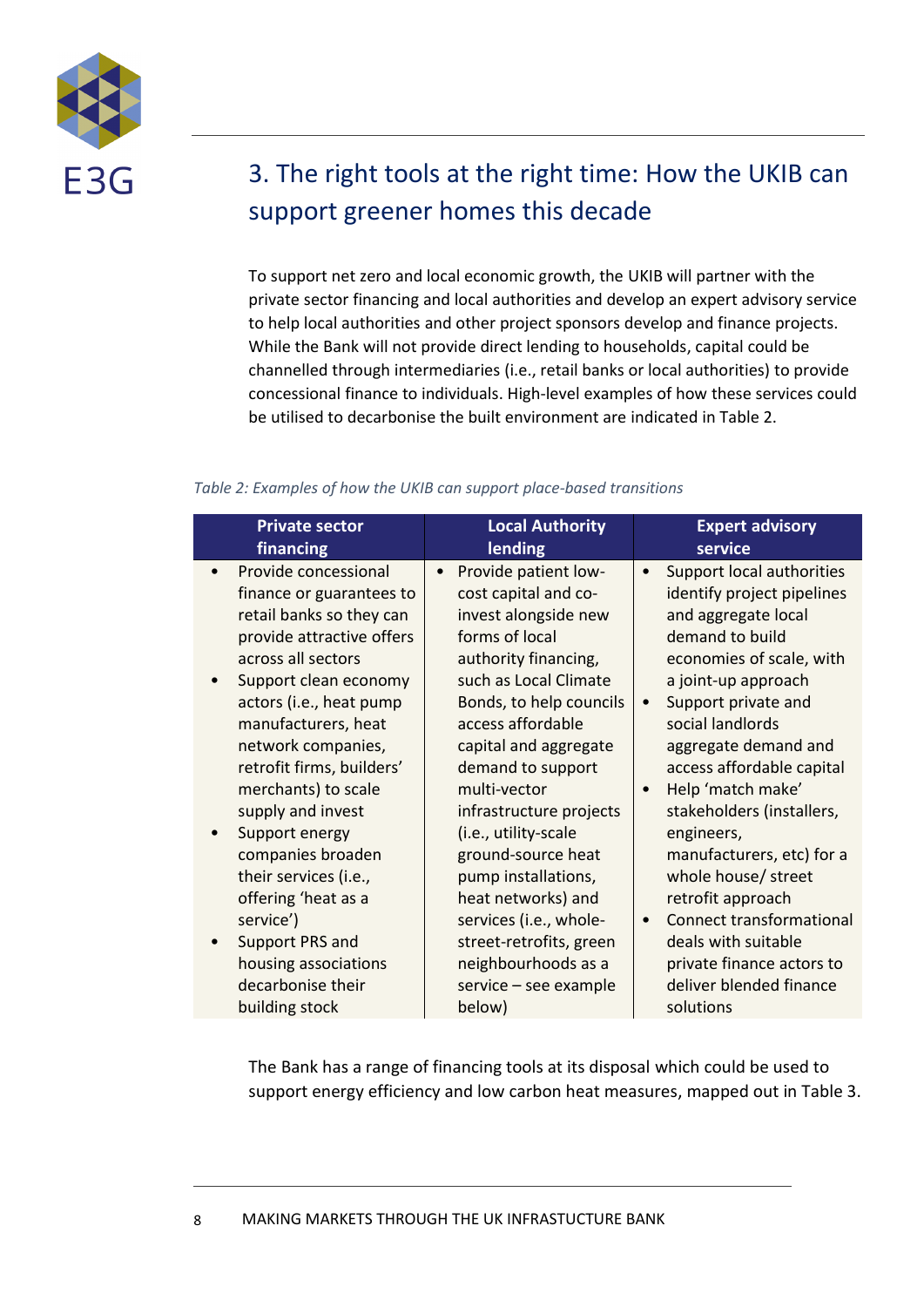

## <span id="page-7-0"></span>3. The right tools at the right time: How the UKIB can support greener homes this decade

To support net zero and local economic growth, the UKIB will partner with the private sector financing and local authorities and develop an expert advisory service to help local authorities and other project sponsors develop and finance projects. While the Bank will not provide direct lending to households, capital could be channelled through intermediaries (i.e., retail banks or local authorities) to provide concessional finance to individuals. High-level examples of how these services could be utilised to decarbonise the built environment are indicated in Table 2.

#### *Table 2: Examples of how the UKIB can support place-based transitions*

| <b>Private sector</b>                                                                                                                                                                                                                                                                                                                                                                                                                   | <b>Local Authority</b>                                                                                                                                                                                                                                                                                                                                                                                                           | <b>Expert advisory</b>                                                                                                                                                                                                                                                                                                                                                                                                                                                                         |
|-----------------------------------------------------------------------------------------------------------------------------------------------------------------------------------------------------------------------------------------------------------------------------------------------------------------------------------------------------------------------------------------------------------------------------------------|----------------------------------------------------------------------------------------------------------------------------------------------------------------------------------------------------------------------------------------------------------------------------------------------------------------------------------------------------------------------------------------------------------------------------------|------------------------------------------------------------------------------------------------------------------------------------------------------------------------------------------------------------------------------------------------------------------------------------------------------------------------------------------------------------------------------------------------------------------------------------------------------------------------------------------------|
| financing                                                                                                                                                                                                                                                                                                                                                                                                                               | lending                                                                                                                                                                                                                                                                                                                                                                                                                          | service                                                                                                                                                                                                                                                                                                                                                                                                                                                                                        |
| Provide concessional<br>finance or guarantees to<br>retail banks so they can<br>provide attractive offers<br>across all sectors<br>Support clean economy<br>actors (i.e., heat pump<br>manufacturers, heat<br>network companies,<br>retrofit firms, builders'<br>merchants) to scale<br>supply and invest<br>Support energy<br>companies broaden<br>their services (i.e.,<br>offering 'heat as a<br>service')<br><b>Support PRS and</b> | Provide patient low-<br>cost capital and co-<br>invest alongside new<br>forms of local<br>authority financing,<br>such as Local Climate<br>Bonds, to help councils<br>access affordable<br>capital and aggregate<br>demand to support<br>multi-vector<br>infrastructure projects<br>(i.e., utility-scale<br>ground-source heat<br>pump installations,<br>heat networks) and<br>services (i.e., whole-<br>street-retrofits, green | Support local authorities<br>identify project pipelines<br>and aggregate local<br>demand to build<br>economies of scale, with<br>a joint-up approach<br>Support private and<br>$\bullet$<br>social landlords<br>aggregate demand and<br>access affordable capital<br>Help 'match make'<br>$\bullet$<br>stakeholders (installers,<br>engineers,<br>manufacturers, etc) for a<br>whole house/ street<br>retrofit approach<br><b>Connect transformational</b><br>$\bullet$<br>deals with suitable |
| housing associations                                                                                                                                                                                                                                                                                                                                                                                                                    | neighbourhoods as a                                                                                                                                                                                                                                                                                                                                                                                                              | private finance actors to                                                                                                                                                                                                                                                                                                                                                                                                                                                                      |
| decarbonise their                                                                                                                                                                                                                                                                                                                                                                                                                       | service - see example                                                                                                                                                                                                                                                                                                                                                                                                            | deliver blended finance                                                                                                                                                                                                                                                                                                                                                                                                                                                                        |
| building stock                                                                                                                                                                                                                                                                                                                                                                                                                          | below)                                                                                                                                                                                                                                                                                                                                                                                                                           | solutions                                                                                                                                                                                                                                                                                                                                                                                                                                                                                      |

The Bank has a range of financing tools at its disposal which could be used to support energy efficiency and low carbon heat measures, mapped out in Table 3.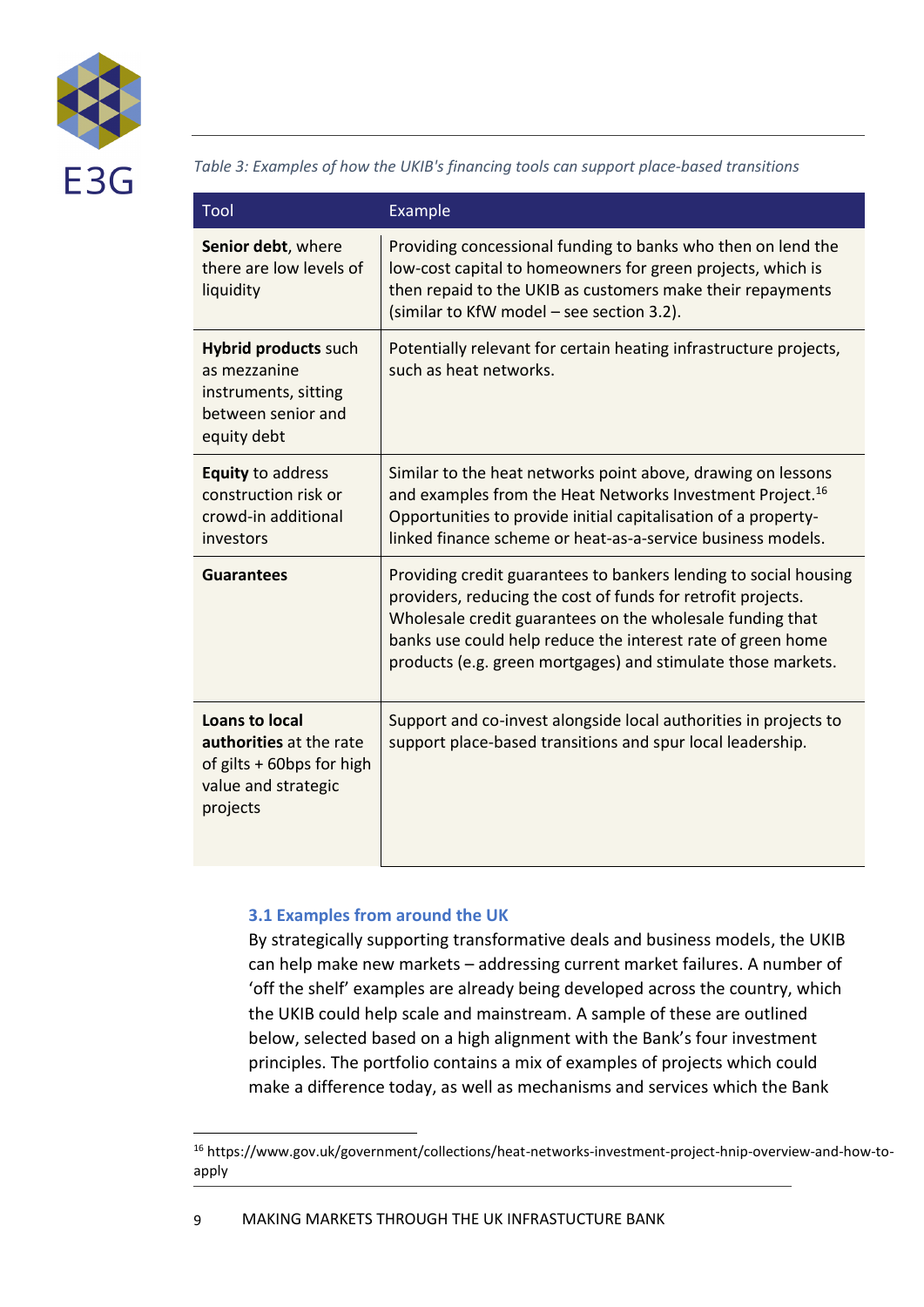

*Table 3: Examples of how the UKIB's financing tools can support place-based transitions*

| Tool                                                                                                      | Example                                                                                                                                                                                                                                                                                                                      |
|-----------------------------------------------------------------------------------------------------------|------------------------------------------------------------------------------------------------------------------------------------------------------------------------------------------------------------------------------------------------------------------------------------------------------------------------------|
| Senior debt, where<br>there are low levels of<br>liquidity                                                | Providing concessional funding to banks who then on lend the<br>low-cost capital to homeowners for green projects, which is<br>then repaid to the UKIB as customers make their repayments<br>(similar to KfW model - see section 3.2).                                                                                       |
| <b>Hybrid products such</b><br>as mezzanine<br>instruments, sitting<br>between senior and<br>equity debt  | Potentially relevant for certain heating infrastructure projects,<br>such as heat networks.                                                                                                                                                                                                                                  |
| <b>Equity to address</b><br>construction risk or<br>crowd-in additional<br>investors                      | Similar to the heat networks point above, drawing on lessons<br>and examples from the Heat Networks Investment Project. <sup>16</sup><br>Opportunities to provide initial capitalisation of a property-<br>linked finance scheme or heat-as-a-service business models.                                                       |
| <b>Guarantees</b>                                                                                         | Providing credit guarantees to bankers lending to social housing<br>providers, reducing the cost of funds for retrofit projects.<br>Wholesale credit guarantees on the wholesale funding that<br>banks use could help reduce the interest rate of green home<br>products (e.g. green mortgages) and stimulate those markets. |
| Loans to local<br>authorities at the rate<br>of gilts + 60bps for high<br>value and strategic<br>projects | Support and co-invest alongside local authorities in projects to<br>support place-based transitions and spur local leadership.                                                                                                                                                                                               |

#### <span id="page-8-0"></span>**3.1 Examples from around the UK**

By strategically supporting transformative deals and business models, the UKIB can help make new markets – addressing current market failures. A number of 'off the shelf' examples are already being developed across the country, which the UKIB could help scale and mainstream. A sample of these are outlined below, selected based on a high alignment with the Bank's four investment principles. The portfolio contains a mix of examples of projects which could make a difference today, as well as mechanisms and services which the Bank

<sup>16</sup> https://www.gov.uk/government/collections/heat-networks-investment-project-hnip-overview-and-how-toapply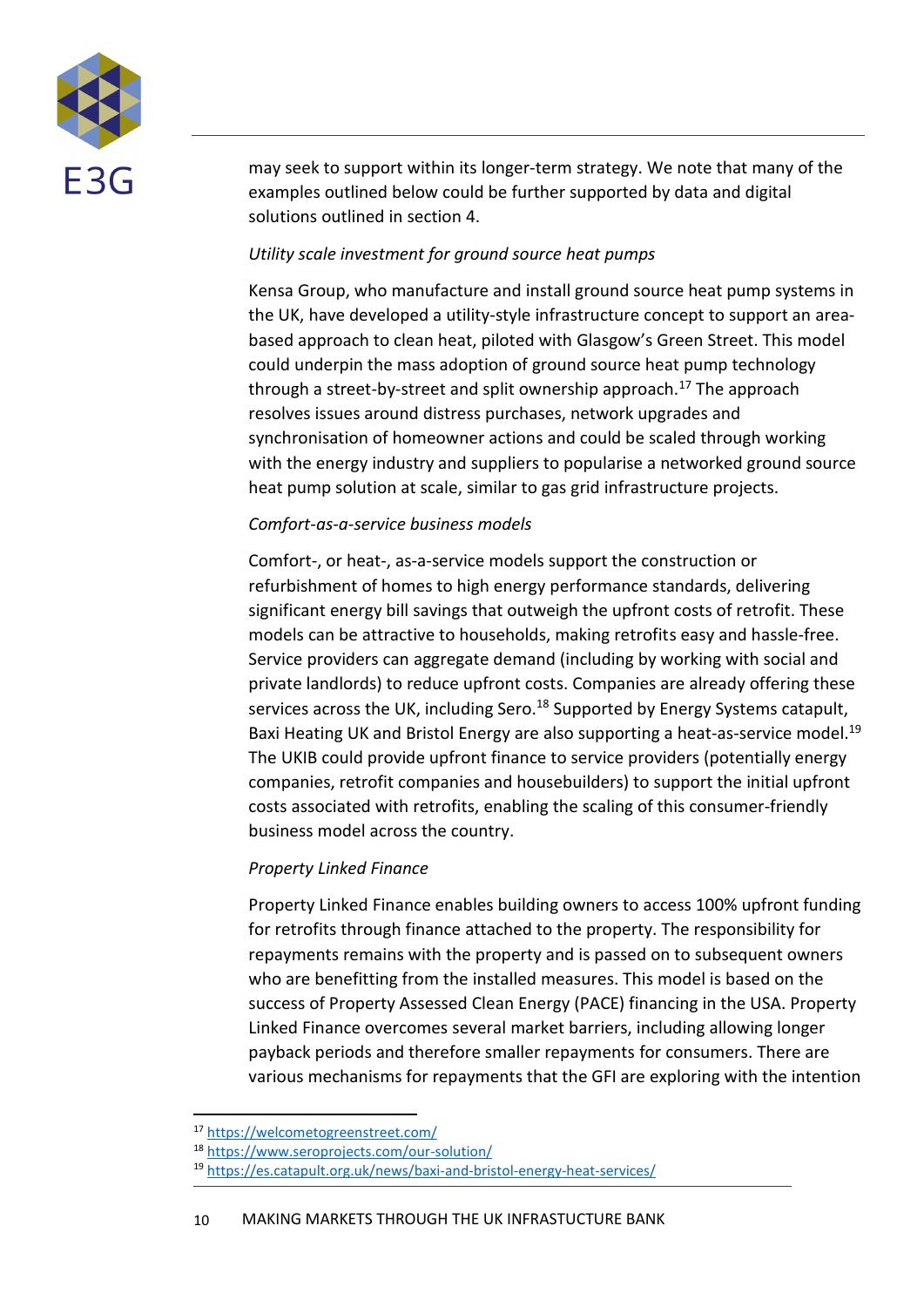

may seek to support within its longer-term strategy. We note that many of the examples outlined below could be further supported by data and digital solutions outlined in section 4.

#### *Utility scale investment for ground source heat pumps*

Kensa Group, who manufacture and install ground source heat pump systems in the UK, have developed a utility-style infrastructure concept to support an areabased approach to clean heat, piloted with Glasgow's Green Street. This model could underpin the mass adoption of ground source heat pump technology through a street-by-street and split ownership approach.<sup>17</sup> The approach resolves issues around distress purchases, network upgrades and synchronisation of homeowner actions and could be scaled through working with the energy industry and suppliers to popularise a networked ground source heat pump solution at scale, similar to gas grid infrastructure projects.

#### *Comfort-as-a-service business models*

Comfort-, or heat-, as-a-service models support the construction or refurbishment of homes to high energy performance standards, delivering significant energy bill savings that outweigh the upfront costs of retrofit. These models can be attractive to households, making retrofits easy and hassle-free. Service providers can aggregate demand (including by working with social and private landlords) to reduce upfront costs. Companies are already offering these services across the UK, including Sero.<sup>18</sup> Supported by Energy Systems catapult, Baxi Heating UK and Bristol Energy are also supporting a heat-as-service model.<sup>19</sup> The UKIB could provide upfront finance to service providers (potentially energy companies, retrofit companies and housebuilders) to support the initial upfront costs associated with retrofits, enabling the scaling of this consumer-friendly business model across the country.

#### *Property Linked Finance*

Property Linked Finance enables building owners to access 100% upfront funding for retrofits through finance attached to the property. The responsibility for repayments remains with the property and is passed on to subsequent owners who are benefitting from the installed measures. This model is based on the success of Property Assessed Clean Energy (PACE) financing in the USA. Property Linked Finance overcomes several market barriers, including allowing longer payback periods and therefore smaller repayments for consumers. There are various mechanisms for repayments that the GFI are exploring with the intention

<sup>17</sup> <https://welcometogreenstreet.com/>

<sup>18</sup> <https://www.seroprojects.com/our-solution/>

<sup>19</sup> <https://es.catapult.org.uk/news/baxi-and-bristol-energy-heat-services/>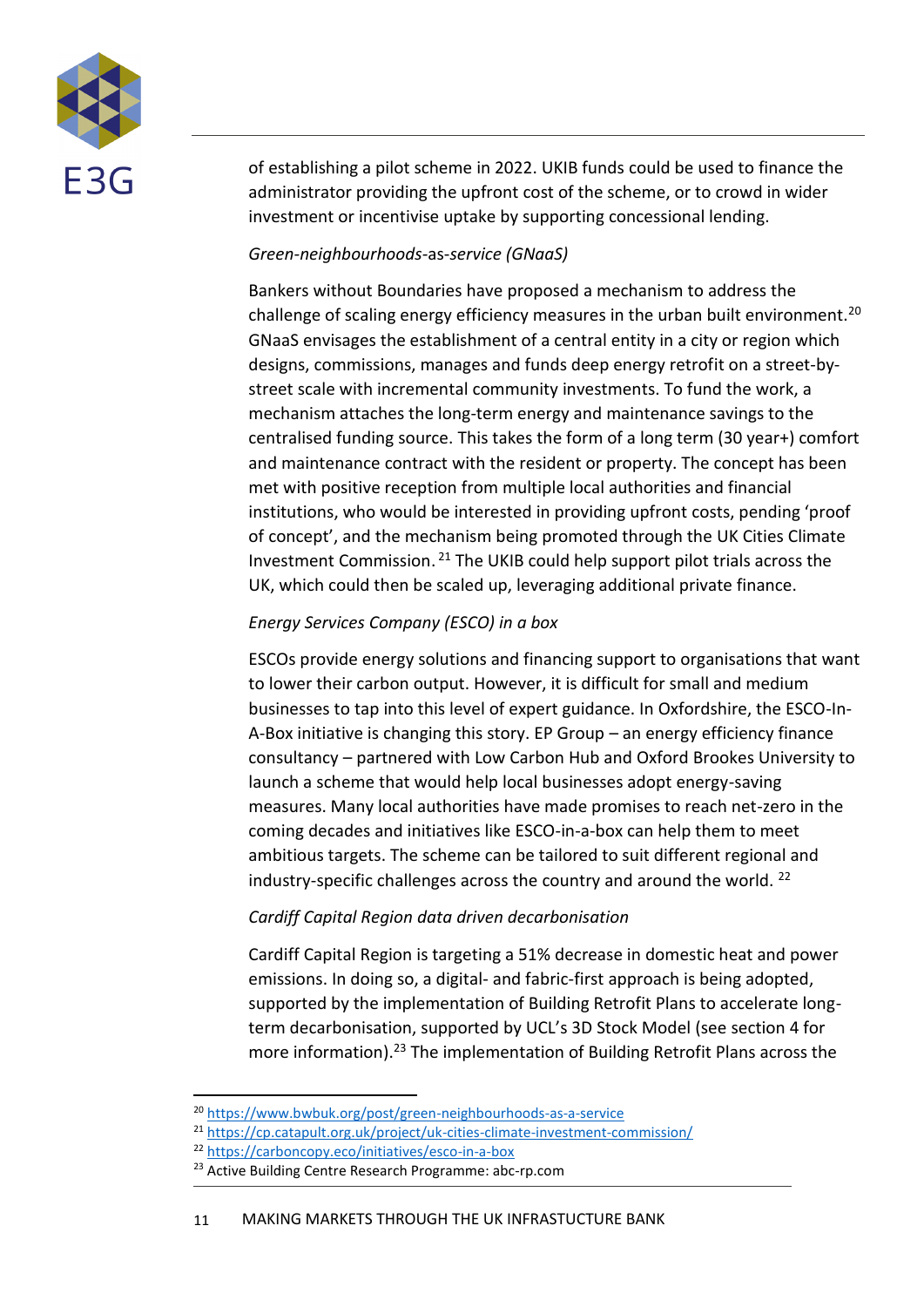

of establishing a pilot scheme in 2022. UKIB funds could be used to finance the administrator providing the upfront cost of the scheme, or to crowd in wider investment or incentivise uptake by supporting concessional lending.

#### *Green-neighbourhoods-*as-*service (GNaaS)*

Bankers without Boundaries have proposed a mechanism to address the challenge of scaling energy efficiency measures in the urban built environment.<sup>20</sup> GNaaS envisages the establishment of a central entity in a city or region which designs, commissions, manages and funds deep energy retrofit on a street-bystreet scale with incremental community investments. To fund the work, a mechanism attaches the long-term energy and maintenance savings to the centralised funding source. This takes the form of a long term (30 year+) comfort and maintenance contract with the resident or property. The concept has been met with positive reception from multiple local authorities and financial institutions, who would be interested in providing upfront costs, pending 'proof of concept', and the mechanism being promoted through the UK Cities Climate Investment Commission. <sup>21</sup> The UKIB could help support pilot trials across the UK, which could then be scaled up, leveraging additional private finance.

#### *Energy Services Company (ESCO) in a box*

ESCOs provide energy solutions and financing support to organisations that want to lower their carbon output. However, it is difficult for small and medium businesses to tap into this level of expert guidance. In Oxfordshire, the ESCO-In-A-Box initiative is changing this story. EP Group – an energy efficiency finance consultancy – partnered with Low Carbon Hub and Oxford Brookes University to launch a scheme that would help local businesses adopt energy-saving measures. Many local authorities have made promises to reach net-zero in the coming decades and initiatives like ESCO-in-a-box can help them to meet ambitious targets. The scheme can be tailored to suit different regional and industry-specific challenges across the country and around the world. <sup>22</sup>

#### *Cardiff Capital Region data driven decarbonisation*

Cardiff Capital Region is targeting a 51% decrease in domestic heat and power emissions. In doing so, a digital- and fabric-first approach is being adopted, supported by the implementation of Building Retrofit Plans to accelerate longterm decarbonisation, supported by UCL's 3D Stock Model (see section 4 for more information). <sup>23</sup> The implementation of Building Retrofit Plans across the

<sup>20</sup> <https://www.bwbuk.org/post/green-neighbourhoods-as-a-service>

<sup>&</sup>lt;sup>21</sup> <https://cp.catapult.org.uk/project/uk-cities-climate-investment-commission/>

<sup>22</sup> <https://carboncopy.eco/initiatives/esco-in-a-box>

<sup>&</sup>lt;sup>23</sup> Active Building Centre Research Programme: abc-rp.com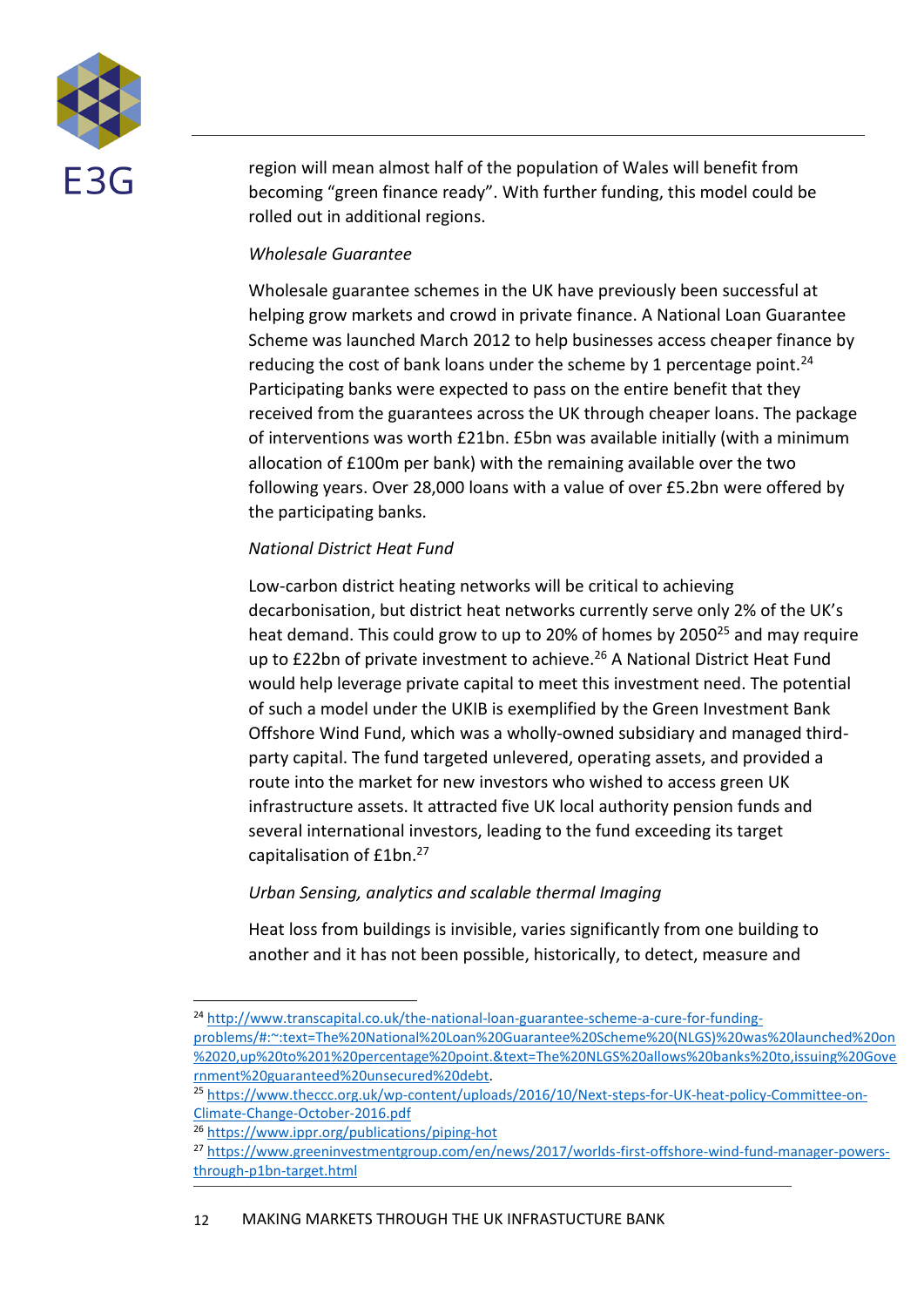

region will mean almost half of the population of Wales will benefit from becoming "green finance ready". With further funding, this model could be rolled out in additional regions.

#### *Wholesale Guarantee*

Wholesale guarantee schemes in the UK have previously been successful at helping grow markets and crowd in private finance. A National Loan Guarantee Scheme was launched March 2012 to help businesses access cheaper finance by reducing the cost of bank loans under the scheme by 1 percentage point.<sup>24</sup> Participating banks were expected to pass on the entire benefit that they received from the guarantees across the UK through cheaper loans. The package of interventions was worth £21bn. £5bn was available initially (with a minimum allocation of £100m per bank) with the remaining available over the two following years. Over 28,000 loans with a value of over £5.2bn were offered by the participating banks.

#### *National District Heat Fund*

Low-carbon district heating networks will be critical to achieving decarbonisation, but district heat networks currently serve only 2% of the UK's heat demand. This could grow to up to 20% of homes by 2050<sup>25</sup> and may require up to £22bn of private investment to achieve.<sup>26</sup> A National District Heat Fund would help leverage private capital to meet this investment need. The potential of such a model under the UKIB is exemplified by the Green Investment Bank Offshore Wind Fund, which was a wholly-owned subsidiary and managed thirdparty capital. The fund targeted unlevered, operating assets, and provided a route into the market for new investors who wished to access green UK infrastructure assets. It attracted five UK local authority pension funds and several international investors, leading to the fund exceeding its target capitalisation of £1bn.<sup>27</sup>

#### *Urban Sensing, analytics and scalable thermal Imaging*

Heat loss from buildings is invisible, varies significantly from one building to another and it has not been possible, historically, to detect, measure and

<sup>24</sup> [http://www.transcapital.co.uk/the-national-loan-guarantee-scheme-a-cure-for-funding](http://www.transcapital.co.uk/the-national-loan-guarantee-scheme-a-cure-for-funding-problems/#:~:text=The%20National%20Loan%20Guarantee%20Scheme%20(NLGS)%20was%20launched%20on%2020,up%20to%201%20percentage%20point.&text=The%20NLGS%20allows%20banks%20to,issuing%20Government%20guaranteed%20unsecured%20debt)[problems/#:~:text=The%20National%20Loan%20Guarantee%20Scheme%20\(NLGS\)%20was%20launched%20on](http://www.transcapital.co.uk/the-national-loan-guarantee-scheme-a-cure-for-funding-problems/#:~:text=The%20National%20Loan%20Guarantee%20Scheme%20(NLGS)%20was%20launched%20on%2020,up%20to%201%20percentage%20point.&text=The%20NLGS%20allows%20banks%20to,issuing%20Government%20guaranteed%20unsecured%20debt) [%2020,up%20to%201%20percentage%20point.&text=The%20NLGS%20allows%20banks%20to,issuing%20Gove](http://www.transcapital.co.uk/the-national-loan-guarantee-scheme-a-cure-for-funding-problems/#:~:text=The%20National%20Loan%20Guarantee%20Scheme%20(NLGS)%20was%20launched%20on%2020,up%20to%201%20percentage%20point.&text=The%20NLGS%20allows%20banks%20to,issuing%20Government%20guaranteed%20unsecured%20debt) [rnment%20guaranteed%20unsecured%20debt.](http://www.transcapital.co.uk/the-national-loan-guarantee-scheme-a-cure-for-funding-problems/#:~:text=The%20National%20Loan%20Guarantee%20Scheme%20(NLGS)%20was%20launched%20on%2020,up%20to%201%20percentage%20point.&text=The%20NLGS%20allows%20banks%20to,issuing%20Government%20guaranteed%20unsecured%20debt)

<sup>&</sup>lt;sup>25</sup> [https://www.theccc.org.uk/wp-content/uploads/2016/10/Next-steps-for-UK-heat-policy-Committee-on-](https://www.theccc.org.uk/wp-content/uploads/2016/10/Next-steps-for-UK-heat-policy-Committee-on-Climate-Change-October-2016.pdf)[Climate-Change-October-2016.pdf](https://www.theccc.org.uk/wp-content/uploads/2016/10/Next-steps-for-UK-heat-policy-Committee-on-Climate-Change-October-2016.pdf)

<sup>26</sup> <https://www.ippr.org/publications/piping-hot>

<sup>27</sup> [https://www.greeninvestmentgroup.com/en/news/2017/worlds-first-offshore-wind-fund-manager-powers](https://www.greeninvestmentgroup.com/en/news/2017/worlds-first-offshore-wind-fund-manager-powers-through-p1bn-target.html)[through-p1bn-target.html](https://www.greeninvestmentgroup.com/en/news/2017/worlds-first-offshore-wind-fund-manager-powers-through-p1bn-target.html)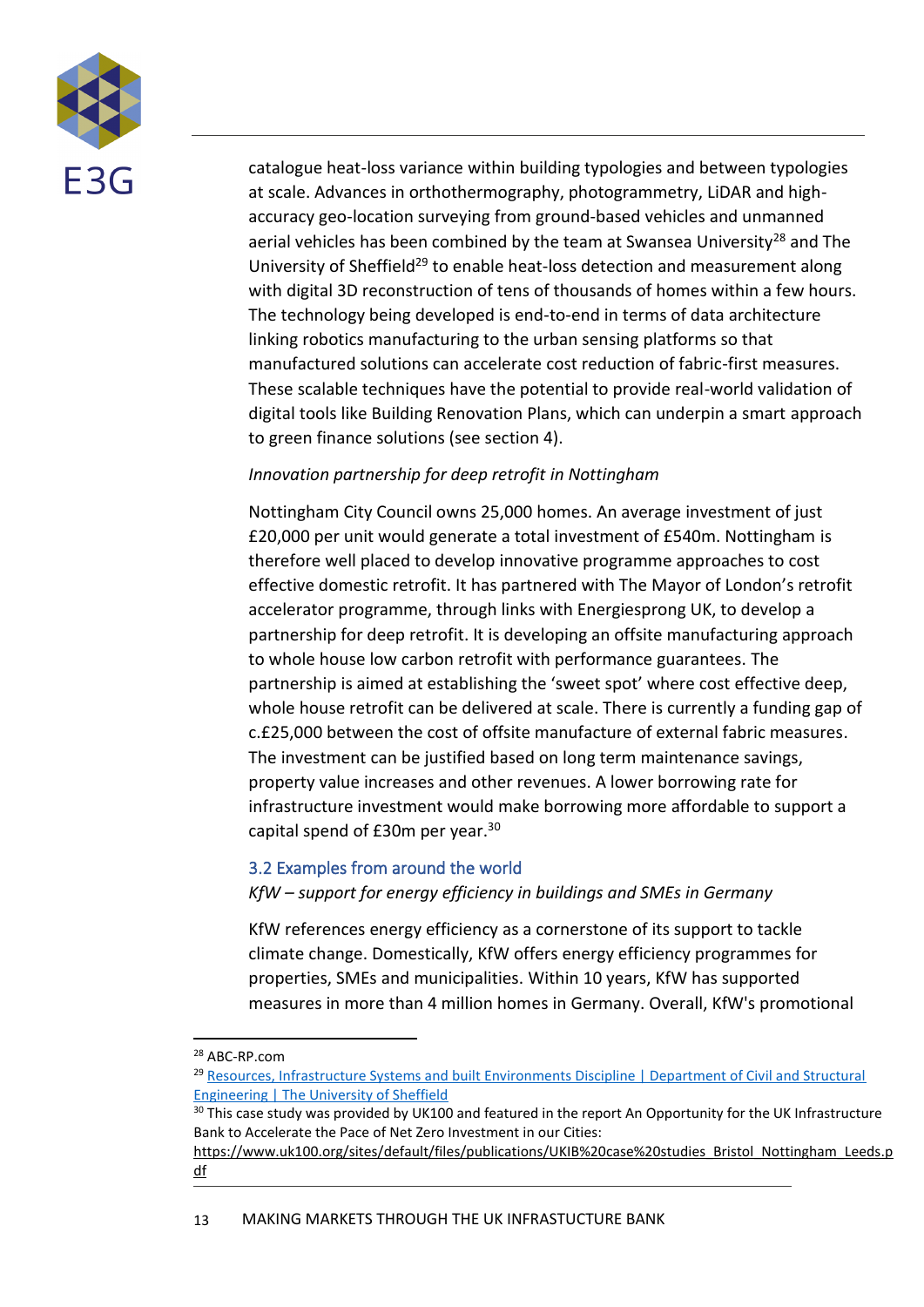

catalogue heat-loss variance within building typologies and between typologies at scale. Advances in orthothermography, photogrammetry, LiDAR and highaccuracy geo-location surveying from ground-based vehicles and unmanned aerial vehicles has been combined by the team at Swansea University<sup>28</sup> and The University of Sheffield<sup>29</sup> to enable heat-loss detection and measurement along with digital 3D reconstruction of tens of thousands of homes within a few hours. The technology being developed is end-to-end in terms of data architecture linking robotics manufacturing to the urban sensing platforms so that manufactured solutions can accelerate cost reduction of fabric-first measures. These scalable techniques have the potential to provide real-world validation of digital tools like Building Renovation Plans, which can underpin a smart approach to green finance solutions (see section 4).

#### *Innovation partnership for deep retrofit in Nottingham*

Nottingham City Council owns 25,000 homes. An average investment of just £20,000 per unit would generate a total investment of £540m. Nottingham is therefore well placed to develop innovative programme approaches to cost effective domestic retrofit. It has partnered with The Mayor of London's retrofit accelerator programme, through links with Energiesprong UK, to develop a partnership for deep retrofit. It is developing an offsite manufacturing approach to whole house low carbon retrofit with performance guarantees. The partnership is aimed at establishing the 'sweet spot' where cost effective deep, whole house retrofit can be delivered at scale. There is currently a funding gap of c.£25,000 between the cost of offsite manufacture of external fabric measures. The investment can be justified based on long term maintenance savings, property value increases and other revenues. A lower borrowing rate for infrastructure investment would make borrowing more affordable to support a capital spend of £30m per year.<sup>30</sup>

#### <span id="page-12-0"></span>3.2 Examples from around the world

*KfW – support for energy efficiency in buildings and SMEs in Germany*

KfW references energy efficiency as a cornerstone of its support to tackle climate change. Domestically, KfW offers energy efficiency programmes for properties, SMEs and municipalities. Within 10 years, KfW has supported measures in more than 4 million homes in Germany. Overall, KfW's promotional

<sup>28</sup> ABC-RP.com

<sup>29</sup> [Resources, Infrastructure Systems and built Environments Discipline | Department of Civil and Structural](https://www.sheffield.ac.uk/civil/research/resources-infrastructure-systems-and-built-environments-discipline)  [Engineering | The University of Sheffield](https://www.sheffield.ac.uk/civil/research/resources-infrastructure-systems-and-built-environments-discipline)

<sup>&</sup>lt;sup>30</sup> This case study was provided by UK100 and featured in the report An Opportunity for the UK Infrastructure Bank to Accelerate the Pace of Net Zero Investment in our Cities:

[https://www.uk100.org/sites/default/files/publications/UKIB%20case%20studies\\_Bristol\\_Nottingham\\_Leeds.p](https://www.uk100.org/sites/default/files/publications/UKIB%20case%20studies_Bristol_Nottingham_Leeds.pdf) [df](https://www.uk100.org/sites/default/files/publications/UKIB%20case%20studies_Bristol_Nottingham_Leeds.pdf)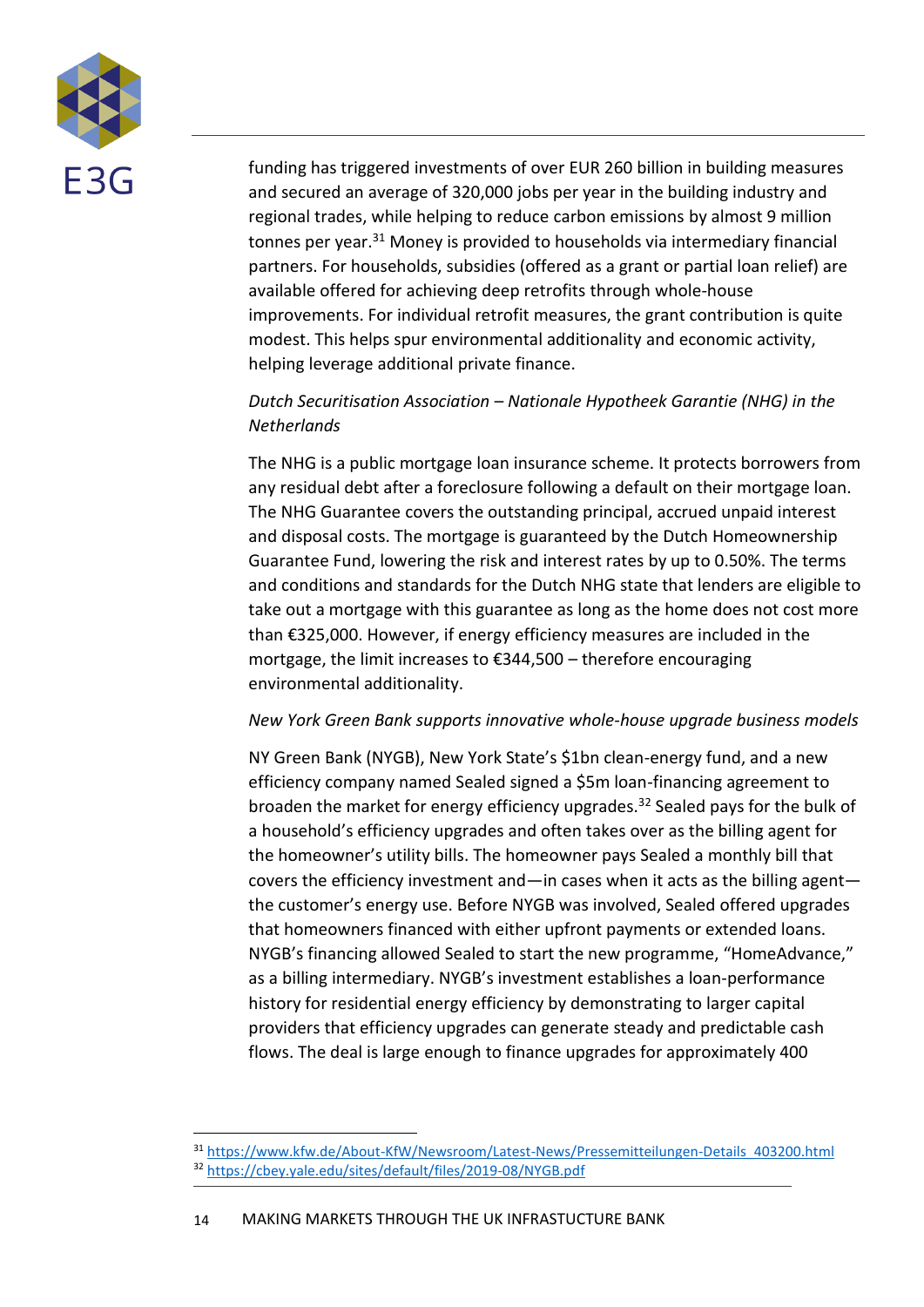

funding has triggered investments of over EUR 260 billion in building measures and secured an average of 320,000 jobs per year in the building industry and regional trades, while helping to reduce carbon emissions by almost 9 million tonnes per year.<sup>31</sup> Money is provided to households via intermediary financial partners. For households, subsidies (offered as a grant or partial loan relief) are available offered for achieving deep retrofits through whole-house improvements. For individual retrofit measures, the grant contribution is quite modest. This helps spur environmental additionality and economic activity, helping leverage additional private finance.

#### *Dutch Securitisation Association – Nationale Hypotheek Garantie (NHG) in the Netherlands*

The NHG is a public mortgage loan insurance scheme. It protects borrowers from any residual debt after a foreclosure following a default on their mortgage loan. The NHG Guarantee covers the outstanding principal, accrued unpaid interest and disposal costs. The mortgage is guaranteed by the Dutch Homeownership Guarantee Fund, lowering the risk and interest rates by up to 0.50%. The terms and conditions and standards for the Dutch NHG state that lenders are eligible to take out a mortgage with this guarantee as long as the home does not cost more than €325,000. However, if energy efficiency measures are included in the mortgage, the limit increases to €344,500 – therefore encouraging environmental additionality.

#### *New York Green Bank supports innovative whole-house upgrade business models*

NY Green Bank (NYGB), New York State's \$1bn clean-energy fund, and a new efficiency company named Sealed signed a \$5m loan-financing agreement to broaden the market for energy efficiency upgrades.<sup>32</sup> Sealed pays for the bulk of a household's efficiency upgrades and often takes over as the billing agent for the homeowner's utility bills. The homeowner pays Sealed a monthly bill that covers the efficiency investment and—in cases when it acts as the billing agent the customer's energy use. Before NYGB was involved, Sealed offered upgrades that homeowners financed with either upfront payments or extended loans. NYGB's financing allowed Sealed to start the new programme, "HomeAdvance," as a billing intermediary. NYGB's investment establishes a loan-performance history for residential energy efficiency by demonstrating to larger capital providers that efficiency upgrades can generate steady and predictable cash flows. The deal is large enough to finance upgrades for approximately 400

<sup>31</sup> [https://www.kfw.de/About-KfW/Newsroom/Latest-News/Pressemitteilungen-Details\\_403200.html](https://www.kfw.de/About-KfW/Newsroom/Latest-News/Pressemitteilungen-Details_403200.html) <sup>32</sup> <https://cbey.yale.edu/sites/default/files/2019-08/NYGB.pdf>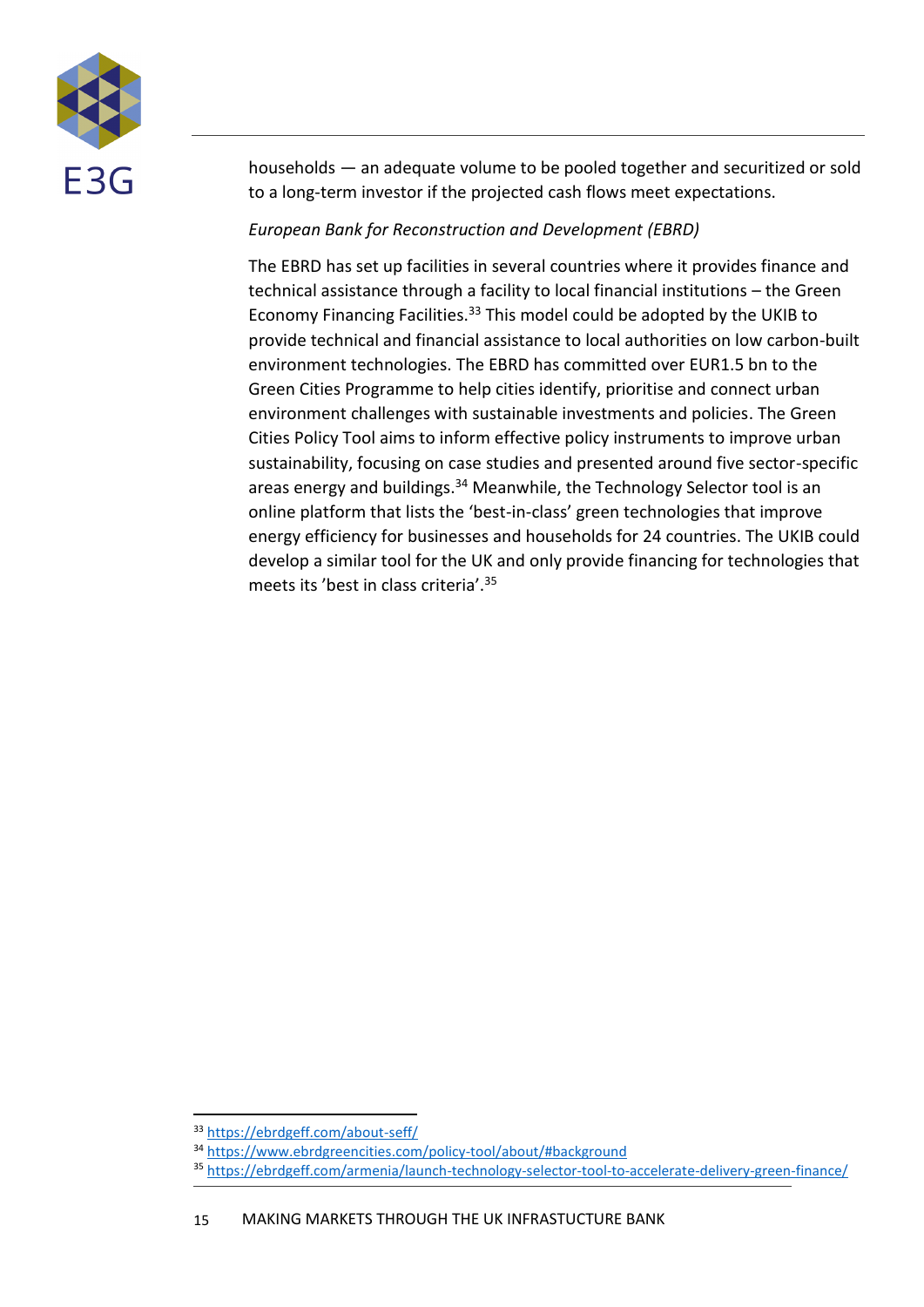

households — an adequate volume to be pooled together and securitized or sold to a long-term investor if the projected cash flows meet expectations.

#### *European Bank for Reconstruction and Development (EBRD)*

The EBRD has set up facilities in several countries where it provides finance and technical assistance through a facility to local financial institutions – the Green Economy Financing Facilities.<sup>33</sup> This model could be adopted by the UKIB to provide technical and financial assistance to local authorities on low carbon-built environment technologies. The EBRD has committed over EUR1.5 bn to the Green Cities Programme to help cities identify, prioritise and connect urban environment challenges with sustainable investments and policies. The Green Cities Policy Tool aims to inform effective policy instruments to improve urban sustainability, focusing on case studies and presented around five sector-specific areas energy and buildings.<sup>34</sup> Meanwhile, the Technology Selector tool is an online platform that lists the 'best-in-class' green technologies that improve energy efficiency for businesses and households for 24 countries. The UKIB could develop a similar tool for the UK and only provide financing for technologies that meets its 'best in class criteria'.<sup>35</sup>

<sup>33</sup> <https://ebrdgeff.com/about-seff/>

<sup>34</sup> <https://www.ebrdgreencities.com/policy-tool/about/#background>

<sup>35</sup> <https://ebrdgeff.com/armenia/launch-technology-selector-tool-to-accelerate-delivery-green-finance/>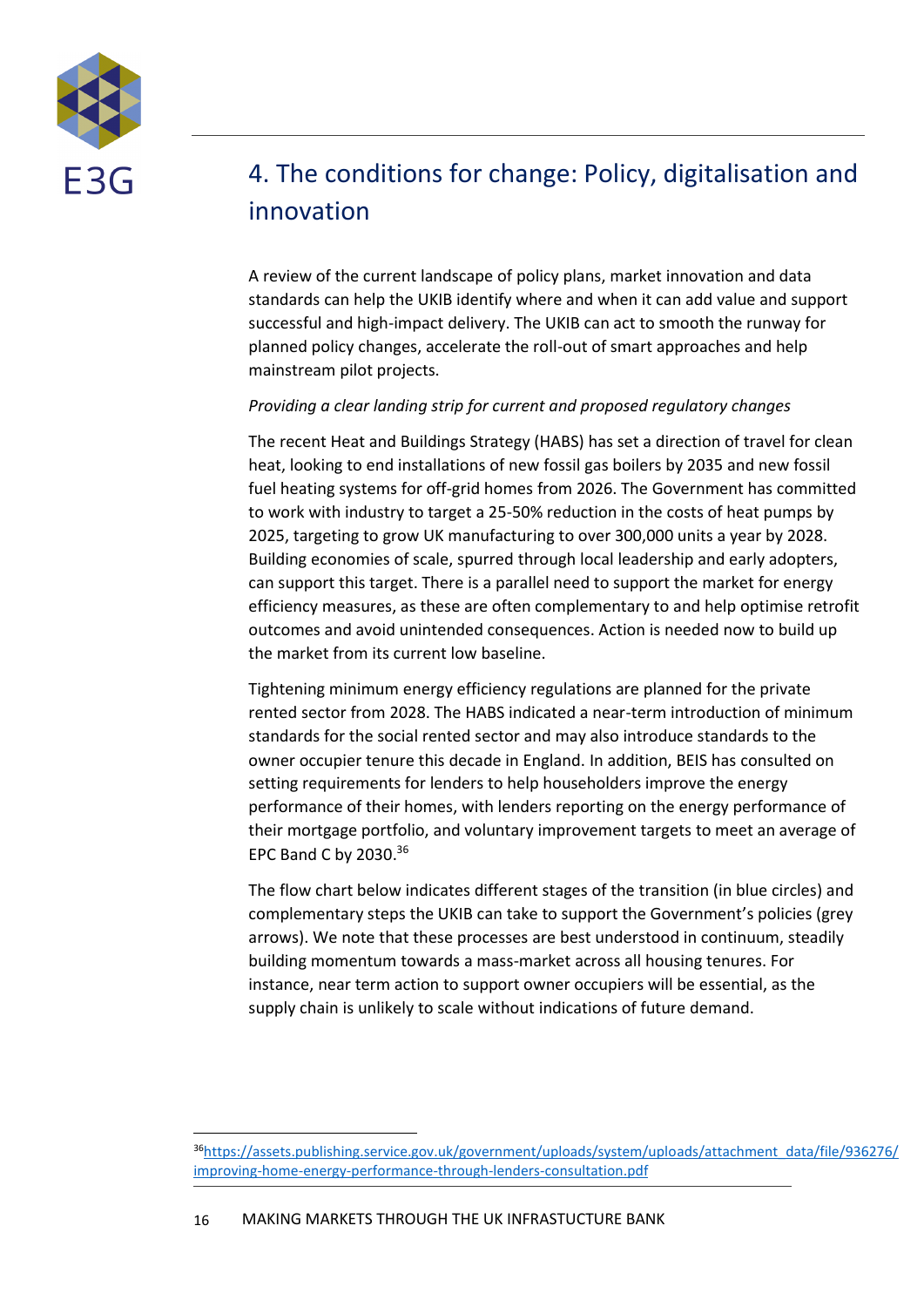

### <span id="page-15-0"></span>4. The conditions for change: Policy, digitalisation and innovation

A review of the current landscape of policy plans, market innovation and data standards can help the UKIB identify where and when it can add value and support successful and high-impact delivery. The UKIB can act to smooth the runway for planned policy changes, accelerate the roll-out of smart approaches and help mainstream pilot projects.

#### *Providing a clear landing strip for current and proposed regulatory changes*

The recent Heat and Buildings Strategy (HABS) has set a direction of travel for clean heat, looking to end installations of new fossil gas boilers by 2035 and new fossil fuel heating systems for off-grid homes from 2026. The Government has committed to work with industry to target a 25-50% reduction in the costs of heat pumps by 2025, targeting to grow UK manufacturing to over 300,000 units a year by 2028. Building economies of scale, spurred through local leadership and early adopters, can support this target. There is a parallel need to support the market for energy efficiency measures, as these are often complementary to and help optimise retrofit outcomes and avoid unintended consequences. Action is needed now to build up the market from its current low baseline.

Tightening minimum energy efficiency regulations are planned for the private rented sector from 2028. The HABS indicated a near-term introduction of minimum standards for the social rented sector and may also introduce standards to the owner occupier tenure this decade in England. In addition, BEIS has consulted on setting requirements for lenders to help householders improve the energy performance of their homes, with lenders reporting on the energy performance of their mortgage portfolio, and voluntary improvement targets to meet an average of EPC Band C by 2030. 36

The flow chart below indicates different stages of the transition (in blue circles) and complementary steps the UKIB can take to support the Government's policies (grey arrows). We note that these processes are best understood in continuum, steadily building momentum towards a mass-market across all housing tenures. For instance, near term action to support owner occupiers will be essential, as the supply chain is unlikely to scale without indications of future demand.

<sup>36</sup>[https://assets.publishing.service.gov.uk/government/uploads/system/uploads/attachment\\_data/file/936276/](https://assets.publishing.service.gov.uk/government/uploads/system/uploads/attachment_data/file/936276/improving-home-energy-performance-through-lenders-consultation.pdf) [improving-home-energy-performance-through-lenders-consultation.pdf](https://assets.publishing.service.gov.uk/government/uploads/system/uploads/attachment_data/file/936276/improving-home-energy-performance-through-lenders-consultation.pdf)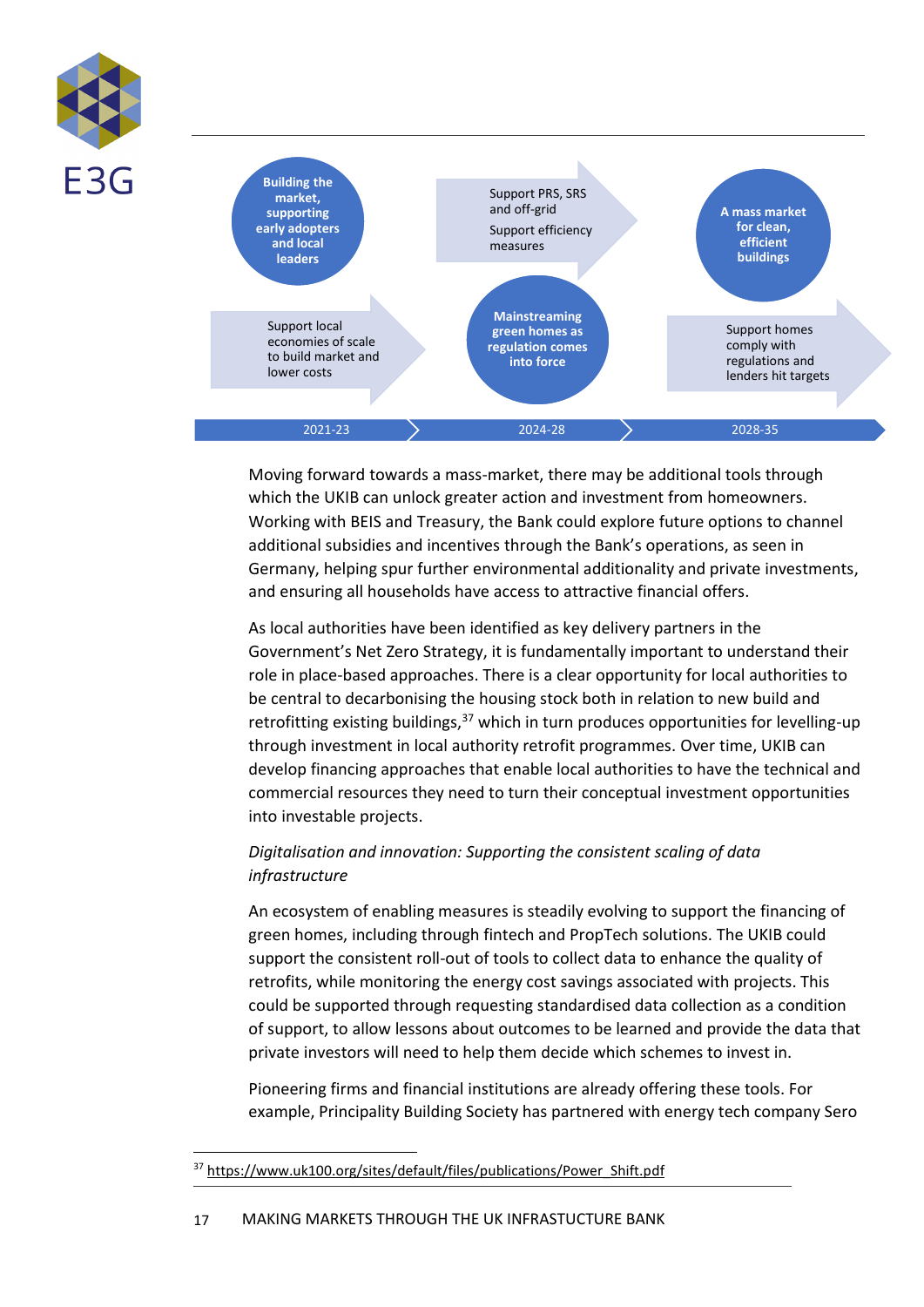



Moving forward towards a mass-market, there may be additional tools through which the UKIB can unlock greater action and investment from homeowners. Working with BEIS and Treasury, the Bank could explore future options to channel additional subsidies and incentives through the Bank's operations, as seen in Germany, helping spur further environmental additionality and private investments, and ensuring all households have access to attractive financial offers.

As local authorities have been identified as key delivery partners in the Government's Net Zero Strategy, it is fundamentally important to understand their role in place-based approaches. There is a clear opportunity for local authorities to be central to decarbonising the housing stock both in relation to new build and retrofitting existing buildings,  $37$  which in turn produces opportunities for levelling-up through investment in local authority retrofit programmes. Over time, UKIB can develop financing approaches that enable local authorities to have the technical and commercial resources they need to turn their conceptual investment opportunities into investable projects.

#### *Digitalisation and innovation: Supporting the consistent scaling of data infrastructure*

An ecosystem of enabling measures is steadily evolving to support the financing of green homes, including through fintech and PropTech solutions. The UKIB could support the consistent roll-out of tools to collect data to enhance the quality of retrofits, while monitoring the energy cost savings associated with projects. This could be supported through requesting standardised data collection as a condition of support, to allow lessons about outcomes to be learned and provide the data that private investors will need to help them decide which schemes to invest in.

Pioneering firms and financial institutions are already offering these tools. For example, Principality Building Society has partnered with energy tech company Sero

<sup>37</sup> [https://www.uk100.org/sites/default/files/publications/Power\\_Shift.pdf](https://www.uk100.org/sites/default/files/publications/Power_Shift.pdf)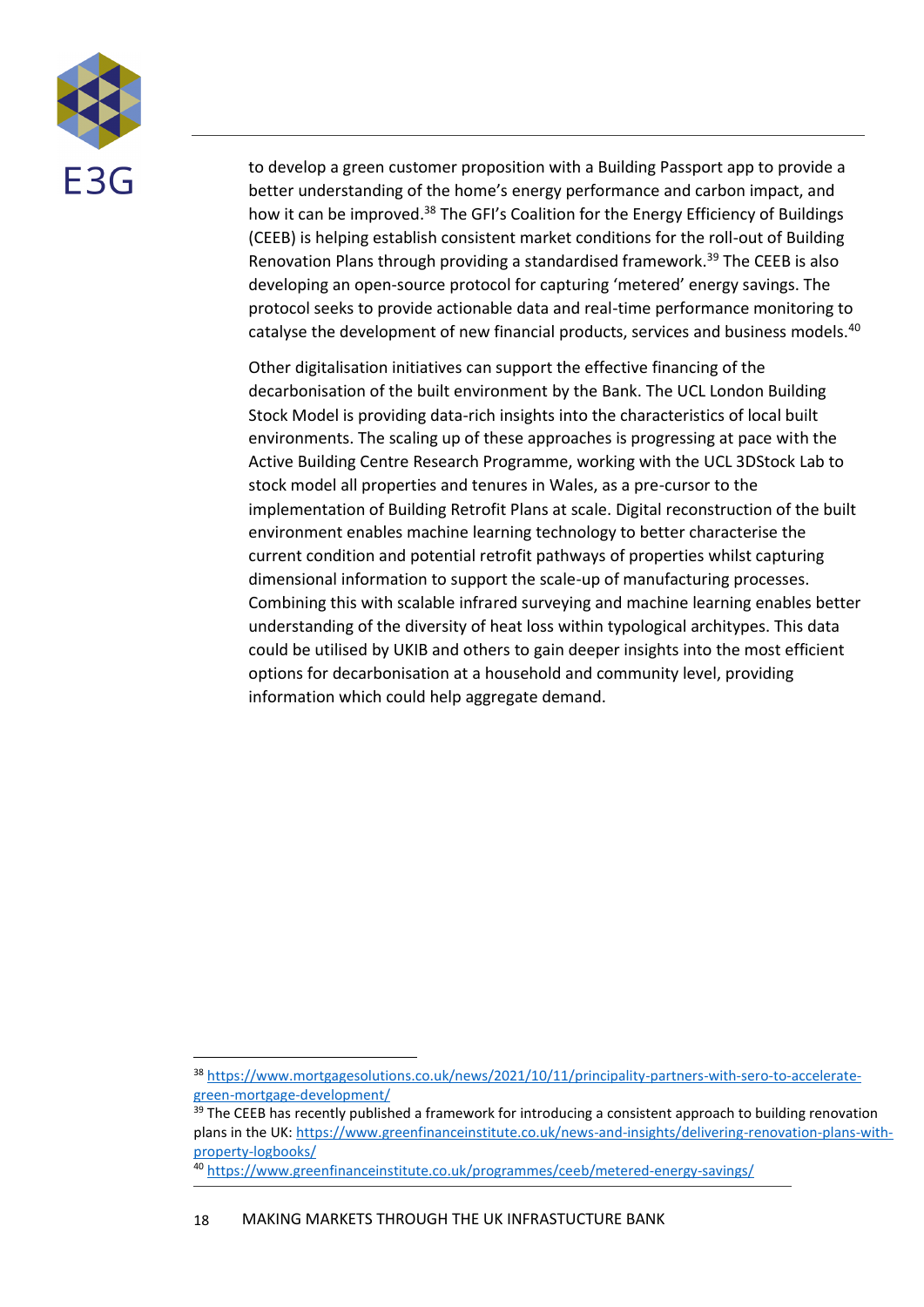

to develop a green customer proposition with a Building Passport app to provide a better understanding of the home's energy performance and carbon impact, and how it can be improved.<sup>38</sup> The GFI's Coalition for the Energy Efficiency of Buildings (CEEB) is helping establish consistent market conditions for the roll-out of Building Renovation Plans through providing a standardised framework.<sup>39</sup> The CEEB is also developing an open-source protocol for capturing 'metered' energy savings. The protocol seeks to provide actionable data and real-time performance monitoring to catalyse the development of new financial products, services and business models.<sup>40</sup>

Other digitalisation initiatives can support the effective financing of the decarbonisation of the built environment by the Bank. The UCL London Building Stock Model is providing data-rich insights into the characteristics of local built environments. The scaling up of these approaches is progressing at pace with the Active Building Centre Research Programme, working with the UCL 3DStock Lab to stock model all properties and tenures in Wales, as a pre-cursor to the implementation of Building Retrofit Plans at scale. Digital reconstruction of the built environment enables machine learning technology to better characterise the current condition and potential retrofit pathways of properties whilst capturing dimensional information to support the scale-up of manufacturing processes. Combining this with scalable infrared surveying and machine learning enables better understanding of the diversity of heat loss within typological architypes. This data could be utilised by UKIB and others to gain deeper insights into the most efficient options for decarbonisation at a household and community level, providing information which could help aggregate demand.

<sup>38</sup> [https://www.mortgagesolutions.co.uk/news/2021/10/11/principality-partners-with-sero-to-accelerate](https://www.mortgagesolutions.co.uk/news/2021/10/11/principality-partners-with-sero-to-accelerate-green-mortgage-development/)[green-mortgage-development/](https://www.mortgagesolutions.co.uk/news/2021/10/11/principality-partners-with-sero-to-accelerate-green-mortgage-development/)

<sup>&</sup>lt;sup>39</sup> The CEEB has recently published a framework for introducing a consistent approach to building renovation plans in the UK[: https://www.greenfinanceinstitute.co.uk/news-and-insights/delivering-renovation-plans-with](https://www.greenfinanceinstitute.co.uk/news-and-insights/delivering-renovation-plans-with-property-logbooks/)[property-logbooks/](https://www.greenfinanceinstitute.co.uk/news-and-insights/delivering-renovation-plans-with-property-logbooks/)

<sup>40</sup> <https://www.greenfinanceinstitute.co.uk/programmes/ceeb/metered-energy-savings/>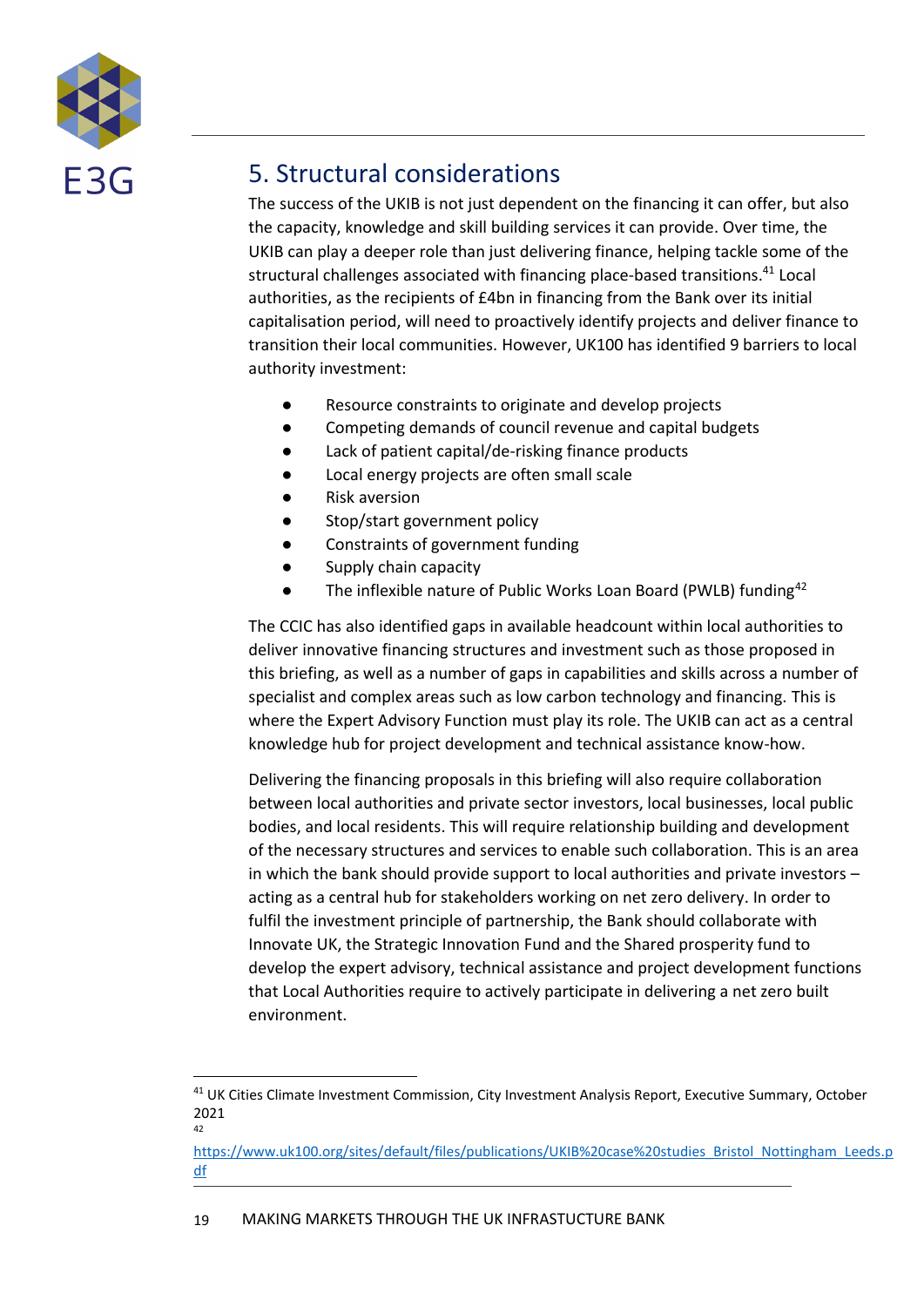

### <span id="page-18-0"></span>5. Structural considerations

The success of the UKIB is not just dependent on the financing it can offer, but also the capacity, knowledge and skill building services it can provide. Over time, the UKIB can play a deeper role than just delivering finance, helping tackle some of the structural challenges associated with financing place-based transitions. <sup>41</sup> Local authorities, as the recipients of £4bn in financing from the Bank over its initial capitalisation period, will need to proactively identify projects and deliver finance to transition their local communities. However, UK100 has identified 9 barriers to local authority investment:

- Resource constraints to originate and develop projects
- Competing demands of council revenue and capital budgets
- Lack of patient capital/de-risking finance products
- Local energy projects are often small scale
- Risk aversion
- Stop/start government policy
- Constraints of government funding
- Supply chain capacity
- The inflexible nature of Public Works Loan Board (PWLB) funding $42$

The CCIC has also identified gaps in available headcount within local authorities to deliver innovative financing structures and investment such as those proposed in this briefing, as well as a number of gaps in capabilities and skills across a number of specialist and complex areas such as low carbon technology and financing. This is where the Expert Advisory Function must play its role. The UKIB can act as a central knowledge hub for project development and technical assistance know-how.

Delivering the financing proposals in this briefing will also require collaboration between local authorities and private sector investors, local businesses, local public bodies, and local residents. This will require relationship building and development of the necessary structures and services to enable such collaboration. This is an area in which the bank should provide support to local authorities and private investors – acting as a central hub for stakeholders working on net zero delivery. In order to fulfil the investment principle of partnership, the Bank should collaborate with Innovate UK, the Strategic Innovation Fund and the Shared prosperity fund to develop the expert advisory, technical assistance and project development functions that Local Authorities require to actively participate in delivering a net zero built environment.

<sup>&</sup>lt;sup>41</sup> UK Cities Climate Investment Commission, City Investment Analysis Report, Executive Summary, October 2021 42

[https://www.uk100.org/sites/default/files/publications/UKIB%20case%20studies\\_Bristol\\_Nottingham\\_Leeds.p](https://www.uk100.org/sites/default/files/publications/UKIB%20case%20studies_Bristol_Nottingham_Leeds.pdf) [df](https://www.uk100.org/sites/default/files/publications/UKIB%20case%20studies_Bristol_Nottingham_Leeds.pdf)